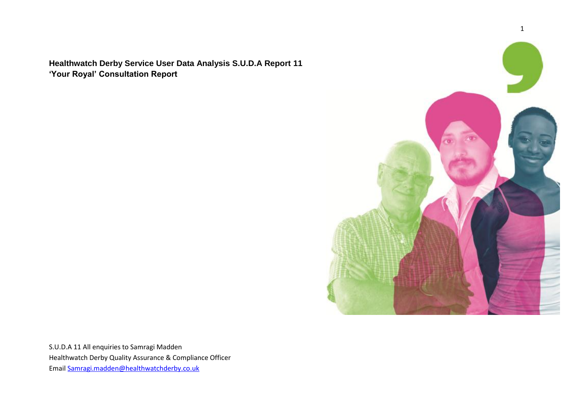**Healthwatch Derby Service User Data Analysis S.U.D.A Report 11 'Your Royal' Consultation Report** 

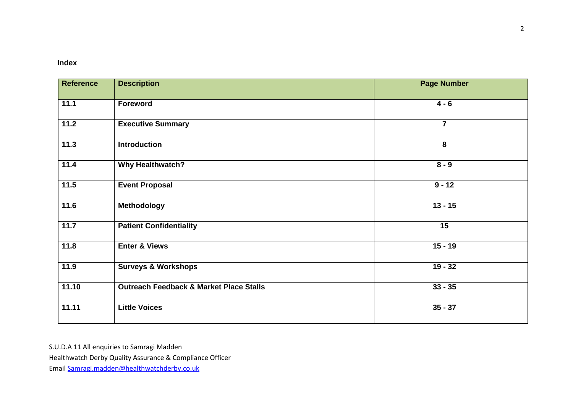# **Index**

| <b>Description</b>                                 | <b>Page Number</b> |
|----------------------------------------------------|--------------------|
| Foreword                                           | $4 - 6$            |
| <b>Executive Summary</b>                           | $\overline{7}$     |
| <b>Introduction</b>                                | 8                  |
| <b>Why Healthwatch?</b>                            | $8 - 9$            |
| <b>Event Proposal</b>                              | $9 - 12$           |
| Methodology                                        | $13 - 15$          |
| <b>Patient Confidentiality</b>                     | 15                 |
| <b>Enter &amp; Views</b>                           | $15 - 19$          |
| <b>Surveys &amp; Workshops</b>                     | $19 - 32$          |
| <b>Outreach Feedback &amp; Market Place Stalls</b> | $33 - 35$          |
| <b>Little Voices</b>                               | $35 - 37$          |
|                                                    |                    |

S.U.D.A 11 All enquiries to Samragi Madden

Healthwatch Derby Quality Assurance & Compliance Officer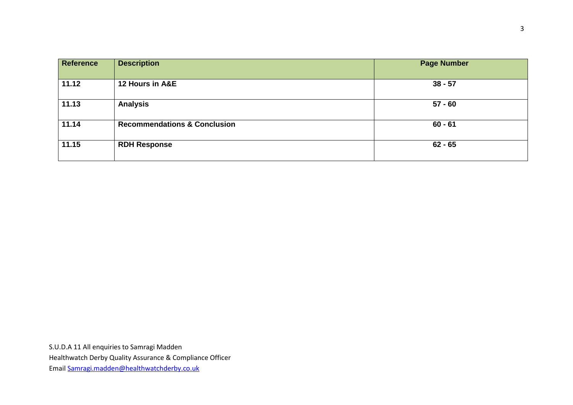| <b>Reference</b> | <b>Description</b>                      | <b>Page Number</b> |
|------------------|-----------------------------------------|--------------------|
| 11.12            | 12 Hours in A&E                         | $38 - 57$          |
| 11.13            | <b>Analysis</b>                         | $57 - 60$          |
| 11.14            | <b>Recommendations &amp; Conclusion</b> | $60 - 61$          |
| 11.15            | <b>RDH Response</b>                     | $62 - 65$          |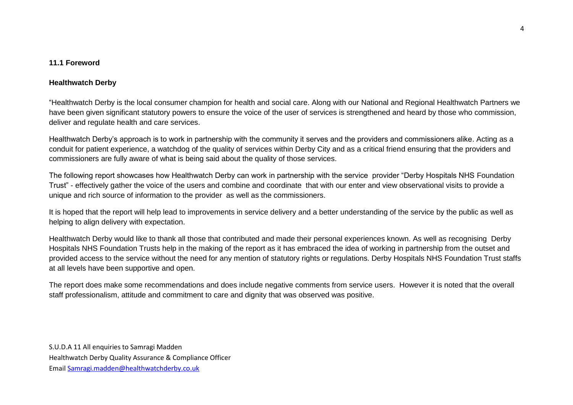### **11.1 Foreword**

# **Healthwatch Derby**

"Healthwatch Derby is the local consumer champion for health and social care. Along with our National and Regional Healthwatch Partners we have been given significant statutory powers to ensure the voice of the user of services is strengthened and heard by those who commission, deliver and regulate health and care services.

Healthwatch Derby's approach is to work in partnership with the community it serves and the providers and commissioners alike. Acting as a conduit for patient experience, a watchdog of the quality of services within Derby City and as a critical friend ensuring that the providers and commissioners are fully aware of what is being said about the quality of those services.

The following report showcases how Healthwatch Derby can work in partnership with the service provider "Derby Hospitals NHS Foundation Trust" - effectively gather the voice of the users and combine and coordinate that with our enter and view observational visits to provide a unique and rich source of information to the provider as well as the commissioners.

It is hoped that the report will help lead to improvements in service delivery and a better understanding of the service by the public as well as helping to align delivery with expectation.

Healthwatch Derby would like to thank all those that contributed and made their personal experiences known. As well as recognising Derby Hospitals NHS Foundation Trusts help in the making of the report as it has embraced the idea of working in partnership from the outset and provided access to the service without the need for any mention of statutory rights or regulations. Derby Hospitals NHS Foundation Trust staffs at all levels have been supportive and open.

The report does make some recommendations and does include negative comments from service users. However it is noted that the overall staff professionalism, attitude and commitment to care and dignity that was observed was positive.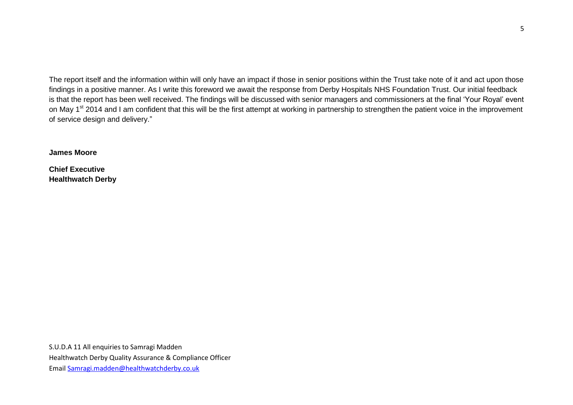The report itself and the information within will only have an impact if those in senior positions within the Trust take note of it and act upon those findings in a positive manner. As I write this foreword we await the response from Derby Hospitals NHS Foundation Trust. Our initial feedback is that the report has been well received. The findings will be discussed with senior managers and commissioners at the final 'Your Royal' event on May 1<sup>st</sup> 2014 and I am confident that this will be the first attempt at working in partnership to strengthen the patient voice in the improvement of service design and delivery."

**James Moore**

**Chief Executive Healthwatch Derby**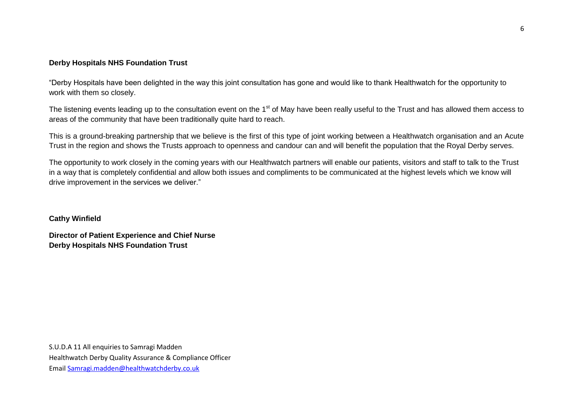### **Derby Hospitals NHS Foundation Trust**

"Derby Hospitals have been delighted in the way this joint consultation has gone and would like to thank Healthwatch for the opportunity to work with them so closely.

The listening events leading up to the consultation event on the 1<sup>st</sup> of May have been really useful to the Trust and has allowed them access to areas of the community that have been traditionally quite hard to reach.

This is a ground-breaking partnership that we believe is the first of this type of joint working between a Healthwatch organisation and an Acute Trust in the region and shows the Trusts approach to openness and candour can and will benefit the population that the Royal Derby serves.

The opportunity to work closely in the coming years with our Healthwatch partners will enable our patients, visitors and staff to talk to the Trust in a way that is completely confidential and allow both issues and compliments to be communicated at the highest levels which we know will drive improvement in the services we deliver."

#### **Cathy Winfield**

**Director of Patient Experience and Chief Nurse Derby Hospitals NHS Foundation Trust**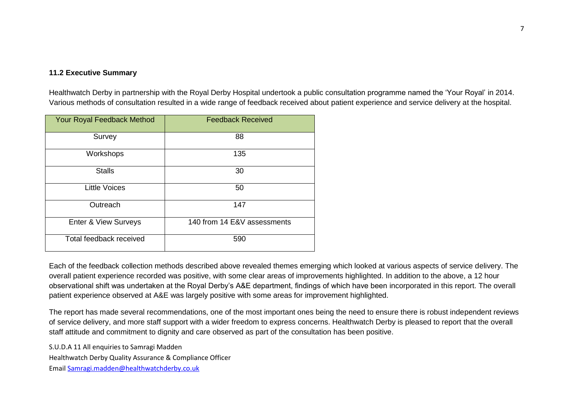# **11.2 Executive Summary**

Healthwatch Derby in partnership with the Royal Derby Hospital undertook a public consultation programme named the 'Your Royal' in 2014. Various methods of consultation resulted in a wide range of feedback received about patient experience and service delivery at the hospital.

| Your Royal Feedback Method | <b>Feedback Received</b>    |
|----------------------------|-----------------------------|
| Survey                     | 88                          |
| Workshops                  | 135                         |
| <b>Stalls</b>              | 30                          |
| <b>Little Voices</b>       | 50                          |
| Outreach                   | 147                         |
| Enter & View Surveys       | 140 from 14 E&V assessments |
| Total feedback received    | 590                         |

Each of the feedback collection methods described above revealed themes emerging which looked at various aspects of service delivery. The overall patient experience recorded was positive, with some clear areas of improvements highlighted. In addition to the above, a 12 hour observational shift was undertaken at the Royal Derby's A&E department, findings of which have been incorporated in this report. The overall patient experience observed at A&E was largely positive with some areas for improvement highlighted.

The report has made several recommendations, one of the most important ones being the need to ensure there is robust independent reviews of service delivery, and more staff support with a wider freedom to express concerns. Healthwatch Derby is pleased to report that the overall staff attitude and commitment to dignity and care observed as part of the consultation has been positive.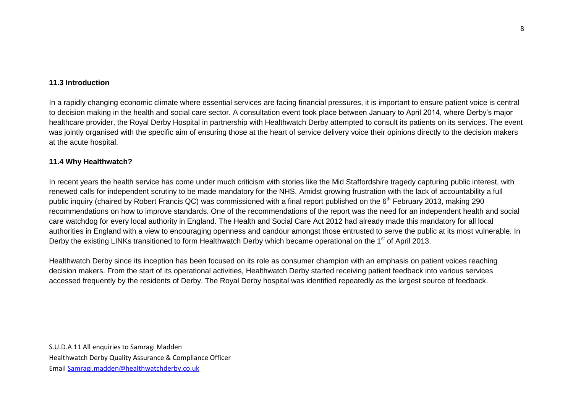### **11.3 Introduction**

In a rapidly changing economic climate where essential services are facing financial pressures, it is important to ensure patient voice is central to decision making in the health and social care sector. A consultation event took place between January to April 2014, where Derby's major healthcare provider, the Royal Derby Hospital in partnership with Healthwatch Derby attempted to consult its patients on its services. The event was jointly organised with the specific aim of ensuring those at the heart of service delivery voice their opinions directly to the decision makers at the acute hospital.

### **11.4 Why Healthwatch?**

In recent years the health service has come under much criticism with stories like the Mid Staffordshire tragedy capturing public interest, with renewed calls for independent scrutiny to be made mandatory for the NHS. Amidst growing frustration with the lack of accountability a full public inquiry (chaired by Robert Francis QC) was commissioned with a final report published on the 6<sup>th</sup> February 2013, making 290 recommendations on how to improve standards. One of the recommendations of the report was the need for an independent health and social care watchdog for every local authority in England. The Health and Social Care Act 2012 had already made this mandatory for all local authorities in England with a view to encouraging openness and candour amongst those entrusted to serve the public at its most vulnerable. In Derby the existing LINKs transitioned to form Healthwatch Derby which became operational on the 1<sup>st</sup> of April 2013.

Healthwatch Derby since its inception has been focused on its role as consumer champion with an emphasis on patient voices reaching decision makers. From the start of its operational activities, Healthwatch Derby started receiving patient feedback into various services accessed frequently by the residents of Derby. The Royal Derby hospital was identified repeatedly as the largest source of feedback.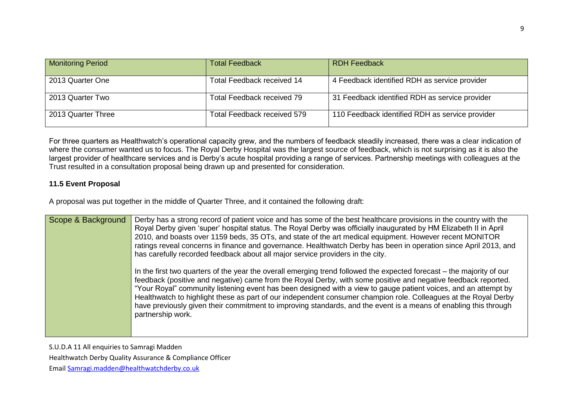| <b>Monitoring Period</b> | <b>Total Feedback</b>       | <b>RDH Feedback</b>                             |
|--------------------------|-----------------------------|-------------------------------------------------|
| 2013 Quarter One         | Total Feedback received 14  | 4 Feedback identified RDH as service provider   |
| 2013 Quarter Two         | Total Feedback received 79  | 31 Feedback identified RDH as service provider  |
| 2013 Quarter Three       | Total Feedback received 579 | 110 Feedback identified RDH as service provider |

For three quarters as Healthwatch's operational capacity grew, and the numbers of feedback steadily increased, there was a clear indication of where the consumer wanted us to focus. The Royal Derby Hospital was the largest source of feedback, which is not surprising as it is also the largest provider of healthcare services and is Derby's acute hospital providing a range of services. Partnership meetings with colleagues at the Trust resulted in a consultation proposal being drawn up and presented for consideration.

## **11.5 Event Proposal**

A proposal was put together in the middle of Quarter Three, and it contained the following draft:

| Scope & Background | Derby has a strong record of patient voice and has some of the best healthcare provisions in the country with the<br>Royal Derby given 'super' hospital status. The Royal Derby was officially inaugurated by HM Elizabeth II in April<br>2010, and boasts over 1159 beds, 35 OTs, and state of the art medical equipment. However recent MONITOR<br>ratings reveal concerns in finance and governance. Healthwatch Derby has been in operation since April 2013, and<br>has carefully recorded feedback about all major service providers in the city.                                                                |
|--------------------|------------------------------------------------------------------------------------------------------------------------------------------------------------------------------------------------------------------------------------------------------------------------------------------------------------------------------------------------------------------------------------------------------------------------------------------------------------------------------------------------------------------------------------------------------------------------------------------------------------------------|
|                    | In the first two quarters of the year the overall emerging trend followed the expected forecast – the majority of our<br>feedback (positive and negative) came from the Royal Derby, with some positive and negative feedback reported.<br>"Your Royal" community listening event has been designed with a view to gauge patient voices, and an attempt by<br>Healthwatch to highlight these as part of our independent consumer champion role. Colleagues at the Royal Derby<br>have previously given their commitment to improving standards, and the event is a means of enabling this through<br>partnership work. |

S.U.D.A 11 All enquiries to Samragi Madden

Healthwatch Derby Quality Assurance & Compliance Officer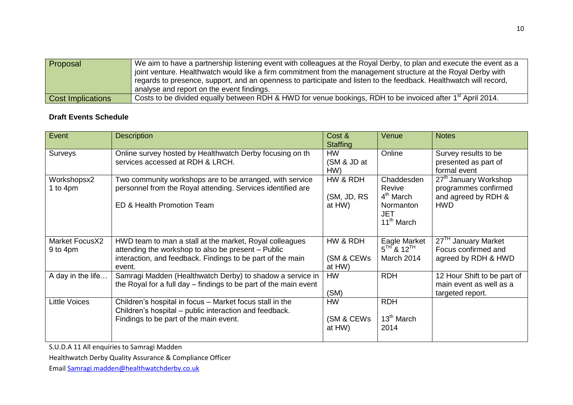| <b>Proposal</b>          | We aim to have a partnership listening event with colleagues at the Royal Derby, to plan and execute the event as a    |
|--------------------------|------------------------------------------------------------------------------------------------------------------------|
|                          | joint venture. Healthwatch would like a firm commitment from the management structure at the Royal Derby with          |
|                          | regards to presence, support, and an openness to participate and listen to the feedback. Healthwatch will record,      |
|                          | analyse and report on the event findings.                                                                              |
| <b>Cost Implications</b> | Costs to be divided equally between RDH & HWD for venue bookings, RDH to be invoiced after 1 <sup>st</sup> April 2014. |

# **Draft Events Schedule**

| Event                      | <b>Description</b>                                                                                                                                                                    | Cost &<br><b>Staffing</b>          | Venue                                                                                              | <b>Notes</b>                                                                                   |
|----------------------------|---------------------------------------------------------------------------------------------------------------------------------------------------------------------------------------|------------------------------------|----------------------------------------------------------------------------------------------------|------------------------------------------------------------------------------------------------|
| Surveys                    | Online survey hosted by Healthwatch Derby focusing on the<br>services accessed at RDH & LRCH.                                                                                         | <b>HW</b><br>(SM & JD at<br>HW)    | Online                                                                                             | Survey results to be<br>presented as part of<br>formal event                                   |
| Workshopsx2<br>1 to 4pm    | Two community workshops are to be arranged, with service<br>personnel from the Royal attending. Services identified are<br>ED & Health Promotion Team                                 | HW & RDH<br>(SM, JD, RS)<br>at HW) | Chaddesden<br>Revive<br>4 <sup>th</sup> March<br>Normanton<br><b>JET</b><br>11 <sup>th</sup> March | 27 <sup>th</sup> January Workshop<br>programmes confirmed<br>and agreed by RDH &<br><b>HWD</b> |
| Market FocusX2<br>9 to 4pm | HWD team to man a stall at the market, Royal colleagues<br>attending the workshop to also be present - Public<br>interaction, and feedback. Findings to be part of the main<br>event. | HW & RDH<br>(SM & CEWs<br>at HW)   | Eagle Market<br>$5TH$ & $12TH$<br>March 2014                                                       | 27 <sup>TH</sup> January Market<br>Focus confirmed and<br>agreed by RDH & HWD                  |
| A day in the life          | Samragi Madden (Healthwatch Derby) to shadow a service in<br>the Royal for a full day – findings to be part of the main event                                                         | <b>HW</b><br>(SM)                  | <b>RDH</b>                                                                                         | 12 Hour Shift to be part of<br>main event as well as a<br>targeted report.                     |
| <b>Little Voices</b>       | Children's hospital in focus - Market focus stall in the<br>Children's hospital – public interaction and feedback.<br>Findings to be part of the main event.                          | <b>HW</b><br>(SM & CEWs<br>at HW)  | <b>RDH</b><br>13 <sup>th</sup> March<br>2014                                                       |                                                                                                |

S.U.D.A 11 All enquiries to Samragi Madden

Healthwatch Derby Quality Assurance & Compliance Officer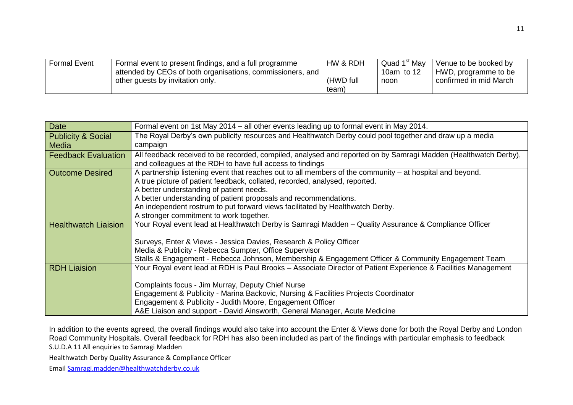| <b>Formal Event</b> | Formal event to present findings, and a full programme     | HW & RDH  | ⊩Quad 1 <sup>st</sup> Mav | Venue to be booked by  |
|---------------------|------------------------------------------------------------|-----------|---------------------------|------------------------|
|                     | attended by CEOs of both organisations, commissioners, and |           | 10am to $12$              | HWD, programme to be   |
|                     | other guests by invitation only.                           | (HWD full | noon                      | confirmed in mid March |
|                     |                                                            | team)     |                           |                        |

| <b>Date</b>                   | Formal event on 1st May 2014 – all other events leading up to formal event in May 2014.                                                                                                                                                                                                                                                                                                                                             |
|-------------------------------|-------------------------------------------------------------------------------------------------------------------------------------------------------------------------------------------------------------------------------------------------------------------------------------------------------------------------------------------------------------------------------------------------------------------------------------|
| <b>Publicity &amp; Social</b> | The Royal Derby's own publicity resources and Healthwatch Derby could pool together and draw up a media                                                                                                                                                                                                                                                                                                                             |
| <b>Media</b>                  | campaign                                                                                                                                                                                                                                                                                                                                                                                                                            |
| <b>Feedback Evaluation</b>    | All feedback received to be recorded, compiled, analysed and reported on by Samragi Madden (Healthwatch Derby),<br>and colleagues at the RDH to have full access to findings                                                                                                                                                                                                                                                        |
| <b>Outcome Desired</b>        | A partnership listening event that reaches out to all members of the community – at hospital and beyond.<br>A true picture of patient feedback, collated, recorded, analysed, reported.<br>A better understanding of patient needs.<br>A better understanding of patient proposals and recommendations.<br>An independent rostrum to put forward views facilitated by Healthwatch Derby.<br>A stronger commitment to work together. |
| <b>Healthwatch Liaision</b>   | Your Royal event lead at Healthwatch Derby is Samragi Madden - Quality Assurance & Compliance Officer<br>Surveys, Enter & Views - Jessica Davies, Research & Policy Officer<br>Media & Publicity - Rebecca Sumpter, Office Supervisor<br>Stalls & Engagement - Rebecca Johnson, Membership & Engagement Officer & Community Engagement Team                                                                                         |
| <b>RDH Liaision</b>           | Your Royal event lead at RDH is Paul Brooks – Associate Director of Patient Experience & Facilities Management<br>Complaints focus - Jim Murray, Deputy Chief Nurse<br>Engagement & Publicity - Marina Backovic, Nursing & Facilities Projects Coordinator<br>Engagement & Publicity - Judith Moore, Engagement Officer<br>A&E Liaison and support - David Ainsworth, General Manager, Acute Medicine                               |

S.U.D.A 11 All enquiries to Samragi Madden In addition to the events agreed, the overall findings would also take into account the Enter & Views done for both the Royal Derby and London Road Community Hospitals. Overall feedback for RDH has also been included as part of the findings with particular emphasis to feedback

Healthwatch Derby Quality Assurance & Compliance Officer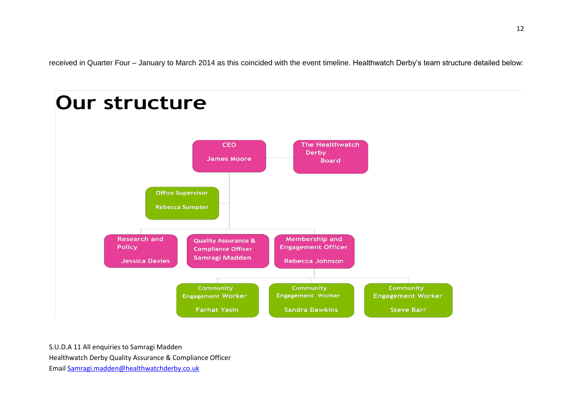received in Quarter Four – January to March 2014 as this coincided with the event timeline. Healthwatch Derby's team structure detailed below:

### **Our structure CFO** The Healthwatch **Derby James Moore Board Office Supervisor Rebecca Sumpter** Membership and **Research and Quality Assurance & Policy Engagement Officer Compliance Officer Samragi Madden** Rebecca Johnson **Jessica Davies** Community Community Community **Engagement Worker Engagement Worker Engagement Worker Steve Barr Farhat Yasin Sandra Dawkins**

S.U.D.A 11 All enquiries to Samragi Madden

Healthwatch Derby Quality Assurance & Compliance Officer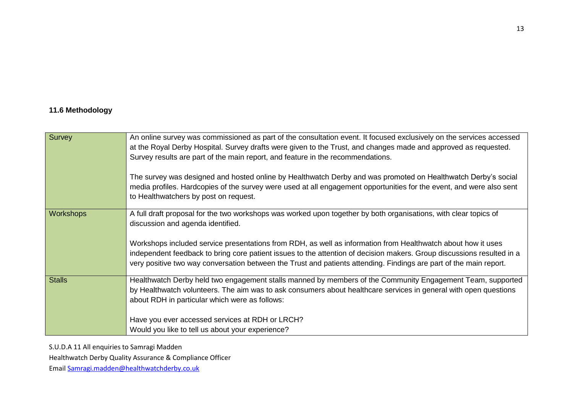# **11.6 Methodology**

| Survey           | An online survey was commissioned as part of the consultation event. It focused exclusively on the services accessed   |
|------------------|------------------------------------------------------------------------------------------------------------------------|
|                  | at the Royal Derby Hospital. Survey drafts were given to the Trust, and changes made and approved as requested.        |
|                  | Survey results are part of the main report, and feature in the recommendations.                                        |
|                  | The survey was designed and hosted online by Healthwatch Derby and was promoted on Healthwatch Derby's social          |
|                  | media profiles. Hardcopies of the survey were used at all engagement opportunities for the event, and were also sent   |
|                  | to Healthwatchers by post on request.                                                                                  |
| <b>Workshops</b> | A full draft proposal for the two workshops was worked upon together by both organisations, with clear topics of       |
|                  | discussion and agenda identified.                                                                                      |
|                  | Workshops included service presentations from RDH, as well as information from Healthwatch about how it uses           |
|                  | independent feedback to bring core patient issues to the attention of decision makers. Group discussions resulted in a |
|                  | very positive two way conversation between the Trust and patients attending. Findings are part of the main report.     |
| <b>Stalls</b>    | Healthwatch Derby held two engagement stalls manned by members of the Community Engagement Team, supported             |
|                  | by Healthwatch volunteers. The aim was to ask consumers about healthcare services in general with open questions       |
|                  | about RDH in particular which were as follows:                                                                         |
|                  |                                                                                                                        |
|                  | Have you ever accessed services at RDH or LRCH?                                                                        |
|                  | Would you like to tell us about your experience?                                                                       |

S.U.D.A 11 All enquiries to Samragi Madden

Healthwatch Derby Quality Assurance & Compliance Officer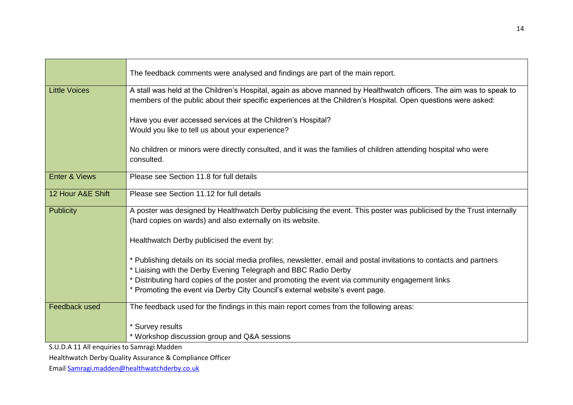|                          | The feedback comments were analysed and findings are part of the main report.                                                                                                                                                        |
|--------------------------|--------------------------------------------------------------------------------------------------------------------------------------------------------------------------------------------------------------------------------------|
| <b>Little Voices</b>     | A stall was held at the Children's Hospital, again as above manned by Healthwatch officers. The aim was to speak to<br>members of the public about their specific experiences at the Children's Hospital. Open questions were asked: |
|                          | Have you ever accessed services at the Children's Hospital?<br>Would you like to tell us about your experience?                                                                                                                      |
|                          | No children or minors were directly consulted, and it was the families of children attending hospital who were<br>consulted.                                                                                                         |
| <b>Enter &amp; Views</b> | Please see Section 11.8 for full details                                                                                                                                                                                             |
| 12 Hour A&E Shift        | Please see Section 11.12 for full details                                                                                                                                                                                            |
| <b>Publicity</b>         | A poster was designed by Healthwatch Derby publicising the event. This poster was publicised by the Trust internally<br>(hard copies on wards) and also externally on its website.                                                   |
|                          | Healthwatch Derby publicised the event by:                                                                                                                                                                                           |
|                          | * Publishing details on its social media profiles, newsletter, email and postal invitations to contacts and partners<br>* Liaising with the Derby Evening Telegraph and BBC Radio Derby                                              |
|                          | * Distributing hard copies of the poster and promoting the event via community engagement links<br>* Promoting the event via Derby City Council's external website's event page.                                                     |
| Feedback used            | The feedback used for the findings in this main report comes from the following areas:                                                                                                                                               |
|                          | * Survey results<br>* Workshop discussion group and Q&A sessions                                                                                                                                                                     |

Healthwatch Derby Quality Assurance & Compliance Officer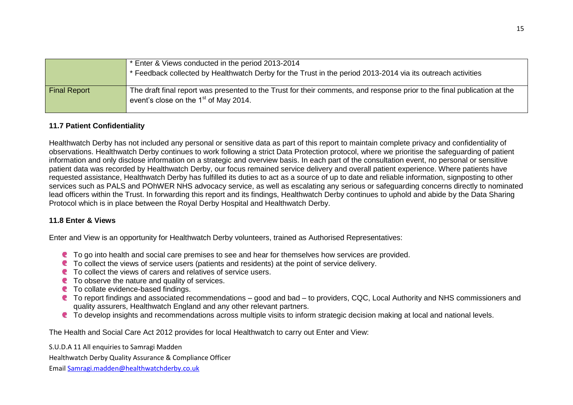|                     | * Enter & Views conducted in the period 2013-2014<br>* Feedback collected by Healthwatch Derby for the Trust in the period 2013-2014 via its outreach activities    |
|---------------------|---------------------------------------------------------------------------------------------------------------------------------------------------------------------|
| <b>Final Report</b> | The draft final report was presented to the Trust for their comments, and response prior to the final publication at the<br>event's close on the $1st$ of May 2014. |

### **11.7 Patient Confidentiality**

Healthwatch Derby has not included any personal or sensitive data as part of this report to maintain complete privacy and confidentiality of observations. Healthwatch Derby continues to work following a strict Data Protection protocol, where we prioritise the safeguarding of patient information and only disclose information on a strategic and overview basis. In each part of the consultation event, no personal or sensitive patient data was recorded by Healthwatch Derby, our focus remained service delivery and overall patient experience. Where patients have requested assistance, Healthwatch Derby has fulfilled its duties to act as a source of up to date and reliable information, signposting to other services such as PALS and POhWER NHS advocacy service, as well as escalating any serious or safeguarding concerns directly to nominated lead officers within the Trust. In forwarding this report and its findings, Healthwatch Derby continues to uphold and abide by the Data Sharing Protocol which is in place between the Royal Derby Hospital and Healthwatch Derby.

### **11.8 Enter & Views**

Enter and View is an opportunity for Healthwatch Derby volunteers, trained as Authorised Representatives:

- **C** To go into health and social care premises to see and hear for themselves how services are provided.
- C To collect the views of service users (patients and residents) at the point of service delivery.
- To collect the views of carers and relatives of service users.
- **C** To observe the nature and quality of services.
- **C** To collate evidence-based findings.
- C To report findings and associated recommendations good and bad to providers, CQC, Local Authority and NHS commissioners and quality assurers, Healthwatch England and any other relevant partners.
- C To develop insights and recommendations across multiple visits to inform strategic decision making at local and national levels.

The Health and Social Care Act 2012 provides for local Healthwatch to carry out Enter and View:

S.U.D.A 11 All enquiries to Samragi Madden

Healthwatch Derby Quality Assurance & Compliance Officer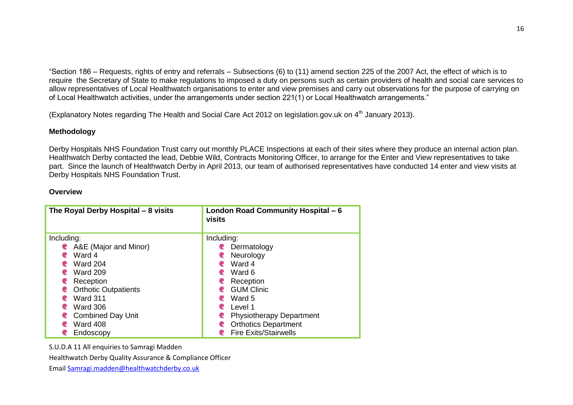"Section 186 – Requests, rights of entry and referrals – Subsections (6) to (11) amend section 225 of the 2007 Act, the effect of which is to require the Secretary of State to make regulations to imposed a duty on persons such as certain providers of health and social care services to allow representatives of Local Healthwatch organisations to enter and view premises and carry out observations for the purpose of carrying on of Local Healthwatch activities, under the arrangements under section 221(1) or Local Healthwatch arrangements."

(Explanatory Notes regarding The Health and Social Care Act 2012 on legislation.gov.uk on 4<sup>th</sup> January 2013).

# **Methodology**

Derby Hospitals NHS Foundation Trust carry out monthly PLACE Inspections at each of their sites where they produce an internal action plan. Healthwatch Derby contacted the lead, Debbie Wild, Contracts Monitoring Officer, to arrange for the Enter and View representatives to take part. Since the launch of Healthwatch Derby in April 2013, our team of authorised representatives have conducted 14 enter and view visits at Derby Hospitals NHS Foundation Trust.

#### **Overview**

| The Royal Derby Hospital - 8 visits | London Road Community Hospital - 6<br>visits |  |  |
|-------------------------------------|----------------------------------------------|--|--|
| Including:                          | Including:                                   |  |  |
| A&E (Major and Minor)<br><b>K</b>   | Dermatology<br>œ.                            |  |  |
| Ward 4                              | Neurology                                    |  |  |
| <b>Ward 204</b>                     | Ward 4                                       |  |  |
| <b>Ward 209</b><br>œ                | Ward 6                                       |  |  |
| Reception<br>œ.                     | Reception                                    |  |  |
| <b>Orthotic Outpatients</b><br>⋐    | <b>GUM Clinic</b>                            |  |  |
| <b>Ward 311</b>                     | Ward 5                                       |  |  |
| <b>Ward 306</b><br>e                | Level 1                                      |  |  |
| <b>Combined Day Unit</b>            | <b>Physiotherapy Department</b>              |  |  |
| Ward 408                            | <b>Orthotics Department</b>                  |  |  |
| Endoscopy                           | <b>Fire Exits/Stairwells</b>                 |  |  |

S.U.D.A 11 All enquiries to Samragi Madden

Healthwatch Derby Quality Assurance & Compliance Officer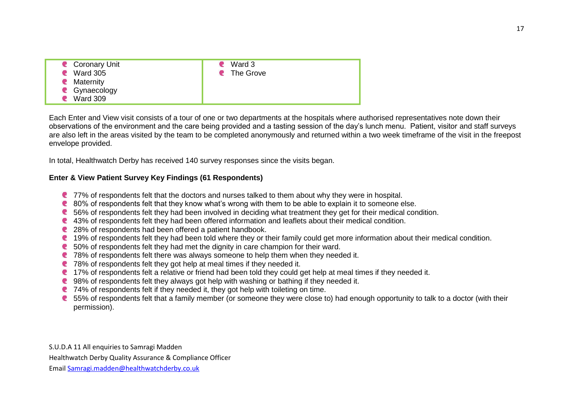| Coronary Unit<br><b>Ward 305</b><br>P | $\bullet$ Ward 3<br>• The Grove |
|---------------------------------------|---------------------------------|
| • Maternity                           |                                 |
| C Gynaecology<br><b>Ward 309</b>      |                                 |

Each Enter and View visit consists of a tour of one or two departments at the hospitals where authorised representatives note down their observations of the environment and the care being provided and a tasting session of the day's lunch menu. Patient, visitor and staff surveys are also left in the areas visited by the team to be completed anonymously and returned within a two week timeframe of the visit in the freepost envelope provided.

In total, Healthwatch Derby has received 140 survey responses since the visits began.

### **Enter & View Patient Survey Key Findings (61 Respondents)**

- **C** 77% of respondents felt that the doctors and nurses talked to them about why they were in hospital.
- 80% of respondents felt that they know what's wrong with them to be able to explain it to someone else.
- 56% of respondents felt they had been involved in deciding what treatment they get for their medical condition.
- 43% of respondents felt they had been offered information and leaflets about their medical condition.
- **28% of respondents had been offered a patient handbook.**
- **19% of respondents felt they had been told where they or their family could get more information about their medical condition.**
- 50% of respondents felt they had met the dignity in care champion for their ward.
- 78% of respondents felt there was always someone to help them when they needed it.
- 78% of respondents felt they got help at meal times if they needed it.
- 17% of respondents felt a relative or friend had been told they could get help at meal times if they needed it.
- 98% of respondents felt they always got help with washing or bathing if they needed it.
- 74% of respondents felt if they needed it, they got help with toileting on time.
- 65% of respondents felt that a family member (or someone they were close to) had enough opportunity to talk to a doctor (with their permission).

S.U.D.A 11 All enquiries to Samragi Madden Healthwatch Derby Quality Assurance & Compliance Officer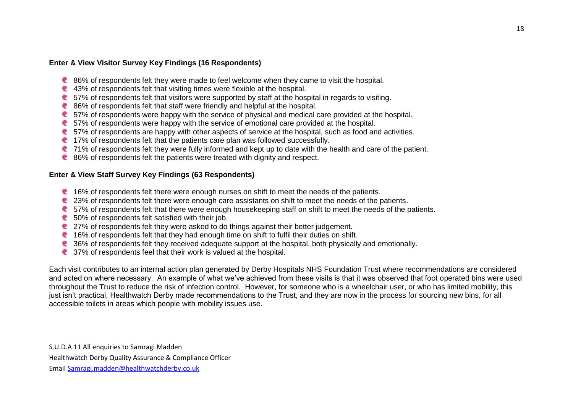### **Enter & View Visitor Survey Key Findings (16 Respondents)**

- 86% of respondents felt they were made to feel welcome when they came to visit the hospital.
- 43% of respondents felt that visiting times were flexible at the hospital.
- 57% of respondents felt that visitors were supported by staff at the hospital in regards to visiting.
- 86% of respondents felt that staff were friendly and helpful at the hospital.
- 57% of respondents were happy with the service of physical and medical care provided at the hospital.
- 57% of respondents were happy with the service of emotional care provided at the hospital.
- 57% of respondents are happy with other aspects of service at the hospital, such as food and activities.
- 17% of respondents felt that the patients care plan was followed successfully.
- 71% of respondents felt they were fully informed and kept up to date with the health and care of the patient.
- 86% of respondents felt the patients were treated with dignity and respect.

### **Enter & View Staff Survey Key Findings (63 Respondents)**

- 16% of respondents felt there were enough nurses on shift to meet the needs of the patients.
- 23% of respondents felt there were enough care assistants on shift to meet the needs of the patients.
- 57% of respondents felt that there were enough housekeeping staff on shift to meet the needs of the patients.
- the 50% of respondents felt satisfied with their job.
- 27% of respondents felt they were asked to do things against their better judgement.
- **that 16% of respondents felt that they had enough time on shift to fulfil their duties on shift.**
- 36% of respondents felt they received adequate support at the hospital, both physically and emotionally.
- 37% of respondents feel that their work is valued at the hospital.

Each visit contributes to an internal action plan generated by Derby Hospitals NHS Foundation Trust where recommendations are considered and acted on where necessary. An example of what we've achieved from these visits is that it was observed that foot operated bins were used throughout the Trust to reduce the risk of infection control. However, for someone who is a wheelchair user, or who has limited mobility, this just isn't practical, Healthwatch Derby made recommendations to the Trust, and they are now in the process for sourcing new bins, for all accessible toilets in areas which people with mobility issues use.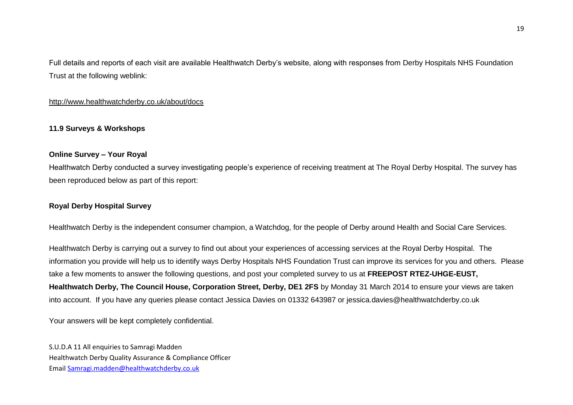Full details and reports of each visit are available Healthwatch Derby's website, along with responses from Derby Hospitals NHS Foundation Trust at the following weblink:

### <http://www.healthwatchderby.co.uk/about/docs>

### **11.9 Surveys & Workshops**

#### **Online Survey – Your Royal**

Healthwatch Derby conducted a survey investigating people's experience of receiving treatment at The Royal Derby Hospital. The survey has been reproduced below as part of this report:

#### **Royal Derby Hospital Survey**

Healthwatch Derby is the independent consumer champion, a Watchdog, for the people of Derby around Health and Social Care Services.

Healthwatch Derby is carrying out a survey to find out about your experiences of accessing services at the Royal Derby Hospital. The information you provide will help us to identify ways Derby Hospitals NHS Foundation Trust can improve its services for you and others. Please take a few moments to answer the following questions, and post your completed survey to us at **FREEPOST RTEZ-UHGE-EUST, Healthwatch Derby, The Council House, Corporation Street, Derby, DE1 2FS** by Monday 31 March 2014 to ensure your views are taken into account. If you have any queries please contact Jessica Davies on 01332 643987 or jessica.davies@healthwatchderby.co.uk

Your answers will be kept completely confidential.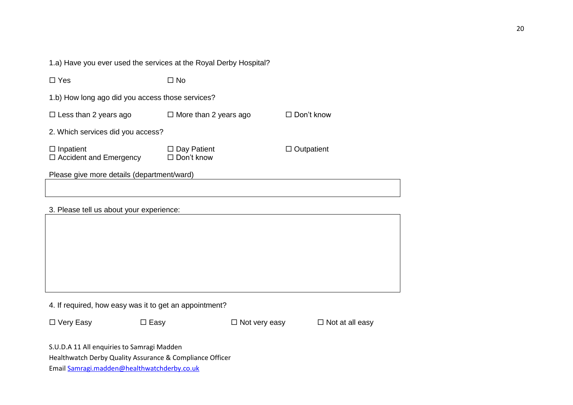1.a) Have you ever used the services at the Royal Derby Hospital?

| $\Box$ Yes                                             | $\square$ No                            |                   |  |  |
|--------------------------------------------------------|-----------------------------------------|-------------------|--|--|
| 1.b) How long ago did you access those services?       |                                         |                   |  |  |
| $\square$ Less than 2 years ago                        | $\Box$ More than 2 years ago            | $\Box$ Don't know |  |  |
| 2. Which services did you access?                      |                                         |                   |  |  |
| $\Box$ Inpatient<br>$\Box$ Accident and Emergency      | $\Box$ Day Patient<br>$\Box$ Don't know | $\Box$ Outpatient |  |  |
| Please give more details (department/ward)             |                                         |                   |  |  |
|                                                        |                                         |                   |  |  |
| 3. Please tell us about your experience:               |                                         |                   |  |  |
|                                                        |                                         |                   |  |  |
|                                                        |                                         |                   |  |  |
|                                                        |                                         |                   |  |  |
|                                                        |                                         |                   |  |  |
|                                                        |                                         |                   |  |  |
| 4. If required, how easy was it to get an appointment? |                                         |                   |  |  |

Very Easy Easy Not very easy Not at all easy

S.U.D.A 11 All enquiries to Samragi Madden

Healthwatch Derby Quality Assurance & Compliance Officer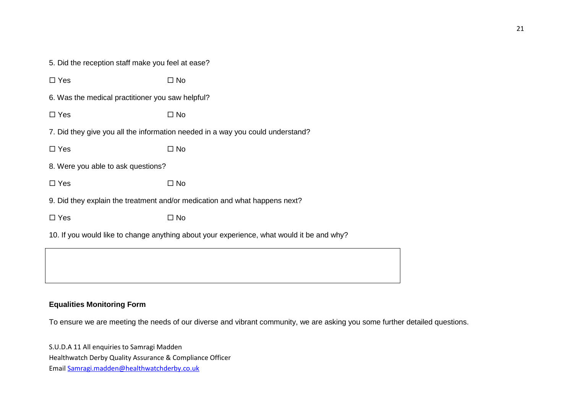5. Did the reception staff make you feel at ease?

| $\Box$ Yes                                       | $\square$ No                                                                    |
|--------------------------------------------------|---------------------------------------------------------------------------------|
| 6. Was the medical practitioner you saw helpful? |                                                                                 |
| $\Box$ Yes                                       | $\square$ No                                                                    |
|                                                  | 7. Did they give you all the information needed in a way you could understand?  |
| $\Box$ Yes                                       | $\square$ No                                                                    |
| 8. Were you able to ask questions?               |                                                                                 |
| $\Box$ Yes                                       | $\square$ No                                                                    |
|                                                  | 9. Did they explain the treatment and/or medication and what happens next?      |
| $\Box$ Yes                                       | $\square$ No                                                                    |
|                                                  | 10. If you would like to change anything about your experience, what would it b |
|                                                  |                                                                                 |

# **Equalities Monitoring Form**

To ensure we are meeting the needs of our diverse and vibrant community, we are asking you some further detailed questions.

be and why?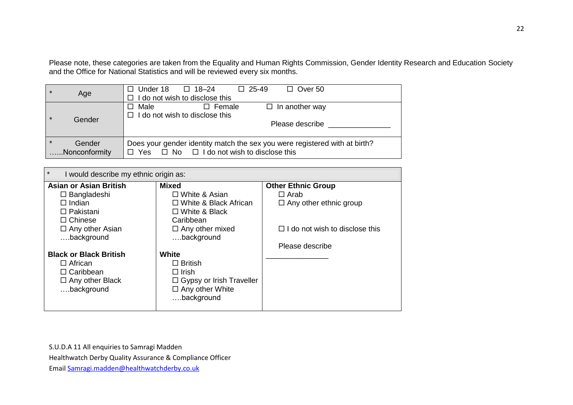Please note, these categories are taken from the Equality and Human Rights Commission, Gender Identity Research and Education Society and the Office for National Statistics and will be reviewed every six months.

| $\star$ | Age                     | $\Box$ 25-49<br>$\Box$ Over 50<br>$\Box$ Under 18 $\Box$ 18-24<br>$\Box$ I do not wish to disclose this                                  |  |
|---------|-------------------------|------------------------------------------------------------------------------------------------------------------------------------------|--|
| $\star$ | Gender                  | $\Box$ Male<br>$\Box$ Female<br>$\Box$ In another way<br>$\Box$ I do not wish to disclose this<br>Please describe                        |  |
| $\star$ | Gender<br>Nonconformity | Does your gender identity match the sex you were registered with at birth?<br>$\Box$ Yes $\Box$ No $\Box$ I do not wish to disclose this |  |

| $\star$<br>I would describe my ethnic origin as: |                                 |                                       |  |  |
|--------------------------------------------------|---------------------------------|---------------------------------------|--|--|
| <b>Asian or Asian British</b>                    | <b>Mixed</b>                    | <b>Other Ethnic Group</b>             |  |  |
| $\Box$ Bangladeshi                               | $\Box$ White & Asian            | $\Box$ Arab                           |  |  |
| $\Box$ Indian                                    | $\Box$ White & Black African    | $\Box$ Any other ethnic group         |  |  |
| $\Box$ Pakistani                                 | $\Box$ White & Black            |                                       |  |  |
| $\Box$ Chinese                                   | Caribbean                       |                                       |  |  |
| $\Box$ Any other Asian                           | $\Box$ Any other mixed          | $\Box$ I do not wish to disclose this |  |  |
| background                                       | background                      |                                       |  |  |
|                                                  |                                 | Please describe                       |  |  |
| <b>Black or Black British</b>                    | <b>White</b>                    |                                       |  |  |
| $\Box$ African                                   | $\Box$ British                  |                                       |  |  |
| $\Box$ Caribbean                                 | $\Box$ Irish                    |                                       |  |  |
| $\Box$ Any other Black                           | $\Box$ Gypsy or Irish Traveller |                                       |  |  |
| background                                       | $\Box$ Any other White          |                                       |  |  |
|                                                  | background                      |                                       |  |  |
|                                                  |                                 |                                       |  |  |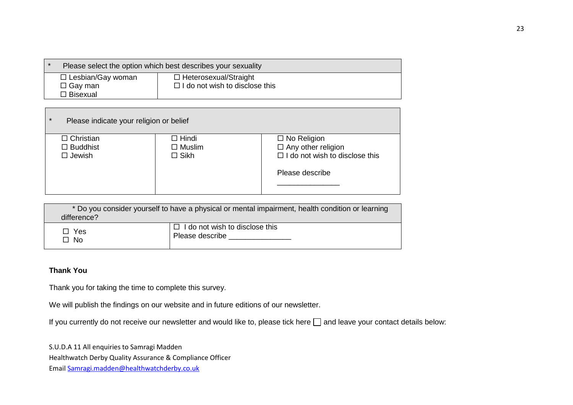| Please select the option which best describes your sexuality |                                       |  |
|--------------------------------------------------------------|---------------------------------------|--|
| $\Box$ Lesbian/Gay woman                                     | $\Box$ Heterosexual/Straight          |  |
| $\Box$ Gay man                                               | $\Box$ I do not wish to disclose this |  |
| $\Box$ Bisexual                                              |                                       |  |

| $\Box$ Christian<br>$\Box$ Hindi | $\Box$ No Religion                    |
|----------------------------------|---------------------------------------|
| $\Box$ Muslim<br>$\Box$ Buddhist | $\Box$ Any other religion             |
| $\Box$ Jewish<br>$\Box$ Sikh     | $\Box$ I do not wish to disclose this |
|                                  | Please describe                       |

| * Do you consider yourself to have a physical or mental impairment, health condition or learning<br>difference? |                                       |  |  |
|-----------------------------------------------------------------------------------------------------------------|---------------------------------------|--|--|
| $\Box$ Yes                                                                                                      | $\Box$ I do not wish to disclose this |  |  |
| $\Box$ No                                                                                                       | Please describe                       |  |  |

# **Thank You**

Thank you for taking the time to complete this survey.

We will publish the findings on our website and in future editions of our newsletter.

If you currently do not receive our newsletter and would like to, please tick here  $\Box$  and leave your contact details below:

S.U.D.A 11 All enquiries to Samragi Madden

Healthwatch Derby Quality Assurance & Compliance Officer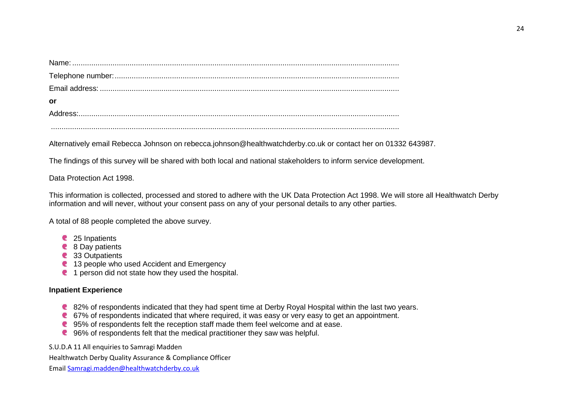| .or |
|-----|
|     |
|     |

Alternatively email Rebecca Johnson on rebecca.johnson@healthwatchderby.co.uk or contact her on 01332 643987.

The findings of this survey will be shared with both local and national stakeholders to inform service development.

Data Protection Act 1998.

This information is collected, processed and stored to adhere with the UK Data Protection Act 1998. We will store all Healthwatch Derby information and will never, without your consent pass on any of your personal details to any other parties.

A total of 88 people completed the above survey.

- 25 Inpatients
- 8 Day patients
- 33 Outpatients
- <sup>2</sup> 13 people who used Accident and Emergency
- <sup>1</sup> 1 person did not state how they used the hospital.

# **Inpatient Experience**

- 82% of respondents indicated that they had spent time at Derby Royal Hospital within the last two vears.
- 67% of respondents indicated that where required, it was easy or very easy to get an appointment.
- 95% of respondents felt the reception staff made them feel welcome and at ease.
- **C** 96% of respondents felt that the medical practitioner they saw was helpful.

S.U.D.A 11 All enquiries to Samragi Madden

Healthwatch Derby Quality Assurance & Compliance Officer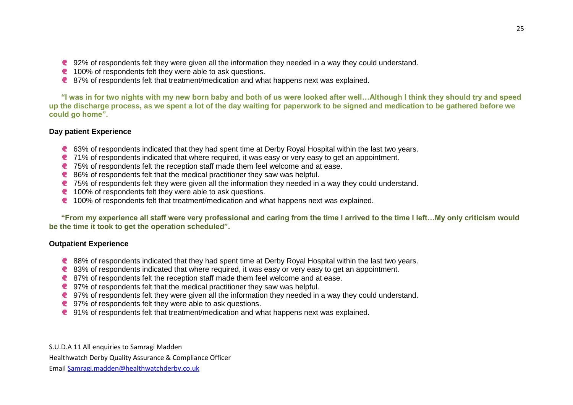- 92% of respondents felt they were given all the information they needed in a way they could understand.
- **t** 100% of respondents felt they were able to ask questions.
- 87% of respondents felt that treatment/medication and what happens next was explained.

**"I was in for two nights with my new born baby and both of us were looked after well…Although I think they should try and speed up the discharge process, as we spent a lot of the day waiting for paperwork to be signed and medication to be gathered before we could go home".**

# **Day patient Experience**

- 63% of respondents indicated that they had spent time at Derby Royal Hospital within the last two years.
- **C** 71% of respondents indicated that where required, it was easy or very easy to get an appointment.
- 75% of respondents felt the reception staff made them feel welcome and at ease.
- 86% of respondents felt that the medical practitioner they saw was helpful.
- 75% of respondents felt they were given all the information they needed in a way they could understand.
- t 100% of respondents felt they were able to ask questions.
- 100% of respondents felt that treatment/medication and what happens next was explained.

**"From my experience all staff were very professional and caring from the time I arrived to the time I left…My only criticism would be the time it took to get the operation scheduled".**

### **Outpatient Experience**

- 88% of respondents indicated that they had spent time at Derby Royal Hospital within the last two years.
- 83% of respondents indicated that where required, it was easy or very easy to get an appointment.
- 87% of respondents felt the reception staff made them feel welcome and at ease.
- 97% of respondents felt that the medical practitioner they saw was helpful.
- 97% of respondents felt they were given all the information they needed in a way they could understand.
- 97% of respondents felt they were able to ask questions.
- 91% of respondents felt that treatment/medication and what happens next was explained.

S.U.D.A 11 All enquiries to Samragi Madden Healthwatch Derby Quality Assurance & Compliance Officer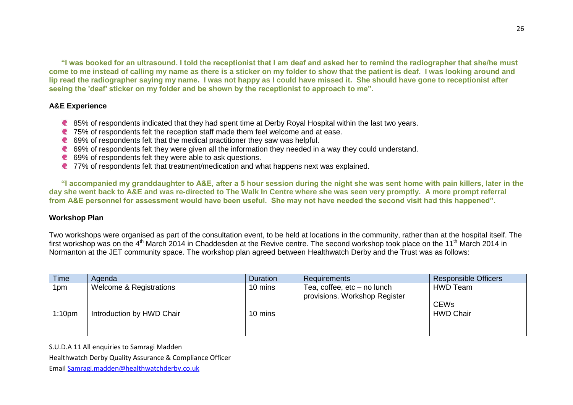**"I was booked for an ultrasound. I told the receptionist that I am deaf and asked her to remind the radiographer that she/he must come to me instead of calling my name as there is a sticker on my folder to show that the patient is deaf. I was looking around and lip read the radiographer saying my name. I was not happy as I could have missed it. She should have gone to receptionist after seeing the 'deaf' sticker on my folder and be shown by the receptionist to approach to me".**

#### **A&E Experience**

- 85% of respondents indicated that they had spent time at Derby Royal Hospital within the last two years.
- **C** 75% of respondents felt the reception staff made them feel welcome and at ease.
- 69% of respondents felt that the medical practitioner they saw was helpful.
- 69% of respondents felt they were given all the information they needed in a way they could understand.
- 69% of respondents felt they were able to ask questions.
- 77% of respondents felt that treatment/medication and what happens next was explained.

**"I accompanied my granddaughter to A&E, after a 5 hour session during the night she was sent home with pain killers, later in the day she went back to A&E and was re-directed to The Walk In Centre where she was seen very promptly. A more prompt referral from A&E personnel for assessment would have been useful. She may not have needed the second visit had this happened".**

### **Workshop Plan**

Two workshops were organised as part of the consultation event, to be held at locations in the community, rather than at the hospital itself. The first workshop was on the 4<sup>th</sup> March 2014 in Chaddesden at the Revive centre. The second workshop took place on the 11<sup>th</sup> March 2014 in Normanton at the JET community space. The workshop plan agreed between Healthwatch Derby and the Trust was as follows:

| Time               | Agenda                    | <b>Duration</b> | <b>Requirements</b>                                          | <b>Responsible Officers</b> |
|--------------------|---------------------------|-----------------|--------------------------------------------------------------|-----------------------------|
| 1pm                | Welcome & Registrations   | 10 mins         | Tea, coffee, etc – no lunch<br>provisions. Workshop Register | <b>HWD Team</b>             |
|                    |                           |                 |                                                              | <b>CEWs</b>                 |
| 1:10 <sub>pm</sub> | Introduction by HWD Chair | 10 mins         |                                                              | <b>HWD Chair</b>            |

S.U.D.A 11 All enquiries to Samragi Madden

Healthwatch Derby Quality Assurance & Compliance Officer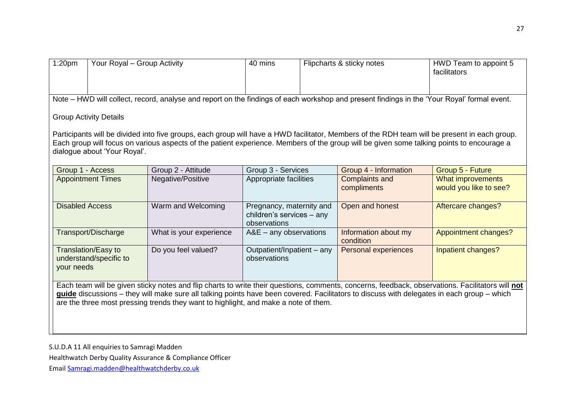|                                                                                                                                                                                                                                                                                                                                                                                       | Your Royal - Group Activity                                                                                                                                                                                                          |                                                                       | Flipcharts & sticky notes |                                      | HWD Team to appoint 5<br>facilitators                                                                                                                                                                                                                                                      |  |
|---------------------------------------------------------------------------------------------------------------------------------------------------------------------------------------------------------------------------------------------------------------------------------------------------------------------------------------------------------------------------------------|--------------------------------------------------------------------------------------------------------------------------------------------------------------------------------------------------------------------------------------|-----------------------------------------------------------------------|---------------------------|--------------------------------------|--------------------------------------------------------------------------------------------------------------------------------------------------------------------------------------------------------------------------------------------------------------------------------------------|--|
| Note – HWD will collect, record, analyse and report on the findings of each workshop and present findings in the 'Your Royal' formal event.                                                                                                                                                                                                                                           |                                                                                                                                                                                                                                      |                                                                       |                           |                                      |                                                                                                                                                                                                                                                                                            |  |
|                                                                                                                                                                                                                                                                                                                                                                                       |                                                                                                                                                                                                                                      |                                                                       |                           |                                      |                                                                                                                                                                                                                                                                                            |  |
|                                                                                                                                                                                                                                                                                                                                                                                       |                                                                                                                                                                                                                                      |                                                                       |                           |                                      |                                                                                                                                                                                                                                                                                            |  |
|                                                                                                                                                                                                                                                                                                                                                                                       | Group 2 - Attitude                                                                                                                                                                                                                   |                                                                       |                           | Group 4 - Information                | Group 5 - Future                                                                                                                                                                                                                                                                           |  |
|                                                                                                                                                                                                                                                                                                                                                                                       | Negative/Positive                                                                                                                                                                                                                    | Appropriate facilities                                                |                           | <b>Complaints and</b><br>compliments | What improvements<br>would you like to see?                                                                                                                                                                                                                                                |  |
|                                                                                                                                                                                                                                                                                                                                                                                       | Warm and Welcoming                                                                                                                                                                                                                   | Pregnancy, maternity and<br>children's services - any<br>observations |                           | Open and honest                      | Aftercare changes?                                                                                                                                                                                                                                                                         |  |
|                                                                                                                                                                                                                                                                                                                                                                                       | What is your experience                                                                                                                                                                                                              | $A&E - any observations$                                              |                           | Information about my<br>condition    | Appointment changes?                                                                                                                                                                                                                                                                       |  |
|                                                                                                                                                                                                                                                                                                                                                                                       | Do you feel valued?                                                                                                                                                                                                                  | Outpatient/Inpatient - any<br>observations                            |                           | <b>Personal experiences</b>          | Inpatient changes?                                                                                                                                                                                                                                                                         |  |
| Each team will be given sticky notes and flip charts to write their questions, comments, concerns, feedback, observations. Facilitators will not<br>guide discussions - they will make sure all talking points have been covered. Facilitators to discuss with delegates in each group - which<br>are the three most pressing trends they want to highlight, and make a note of them. |                                                                                                                                                                                                                                      |                                                                       |                           |                                      |                                                                                                                                                                                                                                                                                            |  |
|                                                                                                                                                                                                                                                                                                                                                                                       | <b>Group Activity Details</b><br>dialogue about 'Your Royal'.<br>Group 1 - Access<br><b>Appointment Times</b><br><b>Disabled Access</b><br>Transport/Discharge<br><b>Translation/Easy to</b><br>understand/specific to<br>your needs |                                                                       |                           | Group 3 - Services                   | Participants will be divided into five groups, each group will have a HWD facilitator, Members of the RDH team will be present in each group.<br>Each group will focus on various aspects of the patient experience. Members of the group will be given some talking points to encourage a |  |

Healthwatch Derby Quality Assurance & Compliance Officer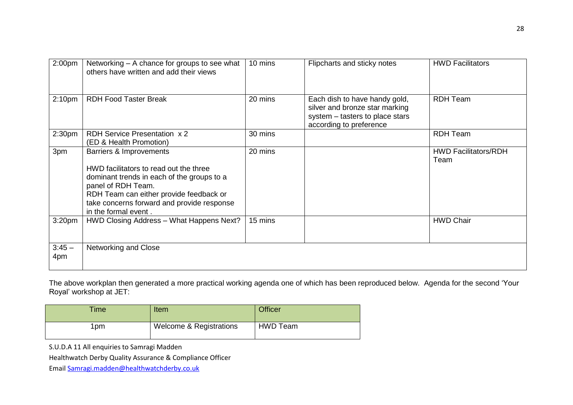| 2:00 <sub>pm</sub> | Networking – A chance for groups to see what<br>others have written and add their views                                                                                                                                                                | 10 mins | Flipcharts and sticky notes                                                                                                   | <b>HWD Facilitators</b>             |
|--------------------|--------------------------------------------------------------------------------------------------------------------------------------------------------------------------------------------------------------------------------------------------------|---------|-------------------------------------------------------------------------------------------------------------------------------|-------------------------------------|
| 2:10 <sub>pm</sub> | <b>RDH Food Taster Break</b>                                                                                                                                                                                                                           | 20 mins | Each dish to have handy gold,<br>silver and bronze star marking<br>system - tasters to place stars<br>according to preference | <b>RDH Team</b>                     |
| 2:30 <sub>pm</sub> | <b>RDH Service Presentation x 2</b><br>(ED & Health Promotion)                                                                                                                                                                                         | 30 mins |                                                                                                                               | <b>RDH Team</b>                     |
| 3pm                | Barriers & Improvements<br>HWD facilitators to read out the three<br>dominant trends in each of the groups to a<br>panel of RDH Team.<br>RDH Team can either provide feedback or<br>take concerns forward and provide response<br>in the formal event. | 20 mins |                                                                                                                               | <b>HWD Facilitators/RDH</b><br>Team |
| 3:20 <sub>pm</sub> | HWD Closing Address - What Happens Next?                                                                                                                                                                                                               | 15 mins |                                                                                                                               | <b>HWD Chair</b>                    |
| $3:45 -$<br>4pm    | Networking and Close                                                                                                                                                                                                                                   |         |                                                                                                                               |                                     |

The above workplan then generated a more practical working agenda one of which has been reproduced below. Agenda for the second 'Your Royal' workshop at JET:

| <b>Time</b> | Item                               | <b>Officer</b>  |
|-------------|------------------------------------|-----------------|
| Ipm         | <b>Welcome &amp; Registrations</b> | <b>HWD Team</b> |

S.U.D.A 11 All enquiries to Samragi Madden

Healthwatch Derby Quality Assurance & Compliance Officer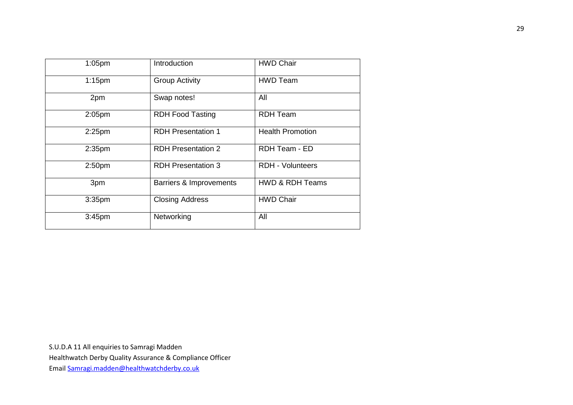| $1:05$ pm          | Introduction              | <b>HWD Chair</b>           |
|--------------------|---------------------------|----------------------------|
| $1:15$ pm          | <b>Group Activity</b>     | <b>HWD Team</b>            |
| 2pm                | Swap notes!               | All                        |
| 2:05 <sub>pm</sub> | <b>RDH Food Tasting</b>   | <b>RDH Team</b>            |
| $2:25$ pm          | <b>RDH Presentation 1</b> | <b>Health Promotion</b>    |
| 2:35 <sub>pm</sub> | <b>RDH Presentation 2</b> | RDH Team - ED              |
| 2:50 <sub>pm</sub> | <b>RDH Presentation 3</b> | <b>RDH - Volunteers</b>    |
| 3pm                | Barriers & Improvements   | <b>HWD &amp; RDH Teams</b> |
| 3:35 <sub>pm</sub> | <b>Closing Address</b>    | <b>HWD Chair</b>           |
| 3:45 <sub>pm</sub> | Networking                | All                        |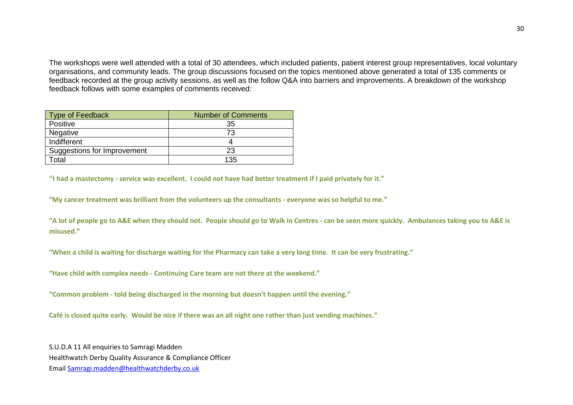The workshops were well attended with a total of 30 attendees, which included patients, patient interest group representatives, local voluntary organisations, and community leads. The group discussions focused on the topics mentioned above generated a total of 135 comments or feedback recorded at the group activity sessions, as well as the follow Q&A into barriers and improvements. A breakdown of the workshop feedback follows with some examples of comments received:

| <b>Type of Feedback</b>     | <b>Number of Comments</b> |  |
|-----------------------------|---------------------------|--|
| Positive                    | 35                        |  |
| Negative                    | 73                        |  |
| Indifferent                 |                           |  |
| Suggestions for Improvement | 23                        |  |
| 「otal                       | 135                       |  |

**"I had a mastectomy - service was excellent. I could not have had better treatment if I paid privately for it."**

**"My cancer treatment was brilliant from the volunteers up the consultants - everyone was so helpful to me."**

**"A lot of people go to A&E when they should not. People should go to Walk in Centres - can be seen more quickly. Ambulances taking you to A&E is misused."**

**"When a child is waiting for discharge waiting for the Pharmacy can take a very long time. It can be very frustrating."**

**"Have child with complex needs - Continuing Care team are not there at the weekend."**

**"Common problem - told being discharged in the morning but doesn't happen until the evening."**

**Café is closed quite early. Would be nice if there was an all night one rather than just vending machines."**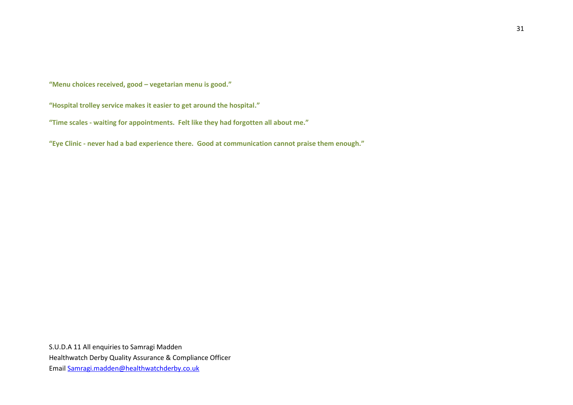**"Menu choices received, good – vegetarian menu is good."**

**"Hospital trolley service makes it easier to get around the hospital."**

**"Time scales - waiting for appointments. Felt like they had forgotten all about me."**

**"Eye Clinic - never had a bad experience there. Good at communication cannot praise them enough."**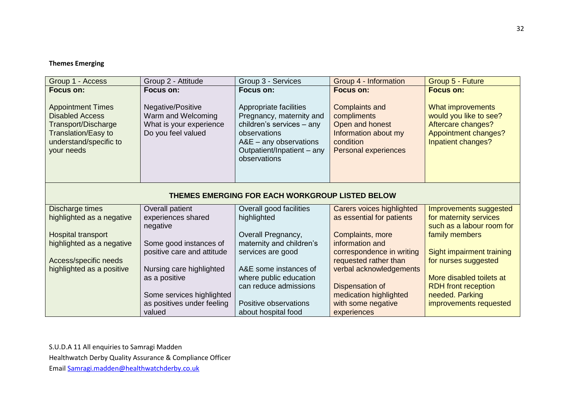# **Themes Emerging**

| Group 1 - Access                                                                                                                                                    | Group 2 - Attitude                                                                                    | Group 3 - Services                                                                                                                                                                     | Group 4 - Information                                                                                                                           | Group 5 - Future                                                                                                                                  |  |  |  |
|---------------------------------------------------------------------------------------------------------------------------------------------------------------------|-------------------------------------------------------------------------------------------------------|----------------------------------------------------------------------------------------------------------------------------------------------------------------------------------------|-------------------------------------------------------------------------------------------------------------------------------------------------|---------------------------------------------------------------------------------------------------------------------------------------------------|--|--|--|
| <b>Focus on:</b><br><b>Appointment Times</b><br><b>Disabled Access</b><br>Transport/Discharge<br><b>Translation/Easy to</b><br>understand/specific to<br>your needs | Focus on:<br>Negative/Positive<br>Warm and Welcoming<br>What is your experience<br>Do you feel valued | Focus on:<br>Appropriate facilities<br>Pregnancy, maternity and<br>children's services - any<br>observations<br>$A&E - any$ observations<br>Outpatient/Inpatient - any<br>observations | <b>Focus on:</b><br><b>Complaints and</b><br>compliments<br>Open and honest<br>Information about my<br>condition<br><b>Personal experiences</b> | <b>Focus on:</b><br><b>What improvements</b><br>would you like to see?<br>Aftercare changes?<br><b>Appointment changes?</b><br>Inpatient changes? |  |  |  |
|                                                                                                                                                                     | THEMES EMERGING FOR EACH WORKGROUP LISTED BELOW                                                       |                                                                                                                                                                                        |                                                                                                                                                 |                                                                                                                                                   |  |  |  |
| Discharge times                                                                                                                                                     | Overall patient                                                                                       | Overall good facilities                                                                                                                                                                | Carers voices highlighted                                                                                                                       | Improvements suggested                                                                                                                            |  |  |  |
| highlighted as a negative                                                                                                                                           | experiences shared                                                                                    | highlighted                                                                                                                                                                            | as essential for patients                                                                                                                       | for maternity services                                                                                                                            |  |  |  |
|                                                                                                                                                                     | negative                                                                                              |                                                                                                                                                                                        |                                                                                                                                                 | such as a labour room for                                                                                                                         |  |  |  |
| Hospital transport                                                                                                                                                  |                                                                                                       | Overall Pregnancy,                                                                                                                                                                     | Complaints, more<br>information and                                                                                                             | family members                                                                                                                                    |  |  |  |
| highlighted as a negative                                                                                                                                           | Some good instances of<br>positive care and attitude                                                  | maternity and children's<br>services are good                                                                                                                                          | correspondence in writing                                                                                                                       | Sight impairment training                                                                                                                         |  |  |  |
| Access/specific needs                                                                                                                                               |                                                                                                       |                                                                                                                                                                                        | requested rather than                                                                                                                           | for nurses suggested                                                                                                                              |  |  |  |
| highlighted as a positive                                                                                                                                           | Nursing care highlighted                                                                              | A&E some instances of                                                                                                                                                                  | verbal acknowledgements                                                                                                                         |                                                                                                                                                   |  |  |  |
|                                                                                                                                                                     | as a positive                                                                                         | where public education                                                                                                                                                                 |                                                                                                                                                 | More disabled toilets at                                                                                                                          |  |  |  |
|                                                                                                                                                                     |                                                                                                       | can reduce admissions                                                                                                                                                                  | Dispensation of                                                                                                                                 | <b>RDH</b> front reception                                                                                                                        |  |  |  |
|                                                                                                                                                                     | Some services highlighted                                                                             |                                                                                                                                                                                        | medication highlighted                                                                                                                          | needed. Parking                                                                                                                                   |  |  |  |
|                                                                                                                                                                     | as positives under feeling                                                                            | Positive observations                                                                                                                                                                  | with some negative                                                                                                                              | improvements requested                                                                                                                            |  |  |  |
|                                                                                                                                                                     | valued                                                                                                | about hospital food                                                                                                                                                                    | experiences                                                                                                                                     |                                                                                                                                                   |  |  |  |

S.U.D.A 11 All enquiries to Samragi Madden

Healthwatch Derby Quality Assurance & Compliance Officer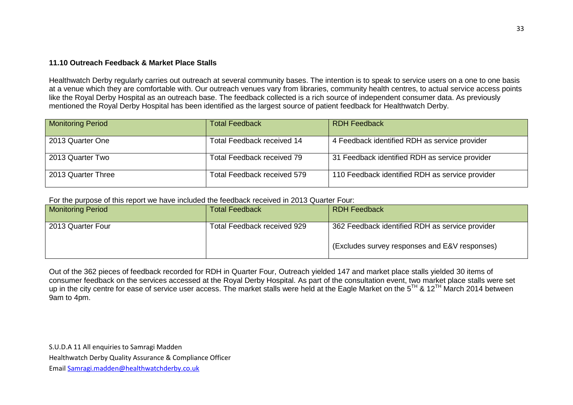### **11.10 Outreach Feedback & Market Place Stalls**

Healthwatch Derby regularly carries out outreach at several community bases. The intention is to speak to service users on a one to one basis at a venue which they are comfortable with. Our outreach venues vary from libraries, community health centres, to actual service access points like the Royal Derby Hospital as an outreach base. The feedback collected is a rich source of independent consumer data. As previously mentioned the Royal Derby Hospital has been identified as the largest source of patient feedback for Healthwatch Derby.

| <b>Monitoring Period</b> | <b>Total Feedback</b>       | <b>RDH Feedback</b>                             |
|--------------------------|-----------------------------|-------------------------------------------------|
| 2013 Quarter One         | Total Feedback received 14  | 4 Feedback identified RDH as service provider   |
| 2013 Quarter Two         | Total Feedback received 79  | 31 Feedback identified RDH as service provider  |
| 2013 Quarter Three       | Total Feedback received 579 | 110 Feedback identified RDH as service provider |

For the purpose of this report we have included the feedback received in 2013 Quarter Four:

| <b>Monitoring Period</b> | <b>Total Feedback</b>       | <b>RDH Feedback</b>                             |
|--------------------------|-----------------------------|-------------------------------------------------|
| 2013 Quarter Four        | Total Feedback received 929 | 362 Feedback identified RDH as service provider |
|                          |                             | (Excludes survey responses and E&V responses)   |

Out of the 362 pieces of feedback recorded for RDH in Quarter Four, Outreach yielded 147 and market place stalls yielded 30 items of consumer feedback on the services accessed at the Royal Derby Hospital. As part of the consultation event, two market place stalls were set up in the city centre for ease of service user access. The market stalls were held at the Eagle Market on the 5<sup>TH</sup> & 12<sup>TH</sup> March 2014 between 9am to 4pm.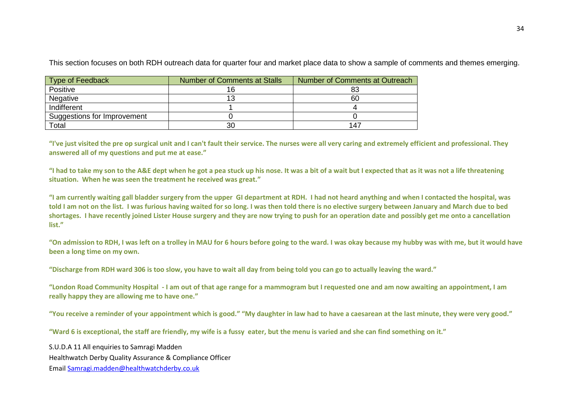| Type of Feedback            | Number of Comments at Stalls | Number of Comments at Outreach |
|-----------------------------|------------------------------|--------------------------------|
| Positive                    |                              | 83                             |
| Negative                    |                              | 60                             |
| Indifferent                 |                              |                                |
| Suggestions for Improvement |                              |                                |
| Total                       | 30                           | 147                            |

This section focuses on both RDH outreach data for quarter four and market place data to show a sample of comments and themes emerging.

**"I've just visited the pre op surgical unit and I can't fault their service. The nurses were all very caring and extremely efficient and professional. They answered all of my questions and put me at ease."**

**"I had to take my son to the A&E dept when he got a pea stuck up his nose. It was a bit of a wait but I expected that as it was not a life threatening situation. When he was seen the treatment he received was great."**

**"I am currently waiting gall bladder surgery from the upper GI department at RDH. I had not heard anything and when I contacted the hospital, was told I am not on the list. I was furious having waited for so long. I was then told there is no elective surgery between January and March due to bed shortages. I have recently joined Lister House surgery and they are now trying to push for an operation date and possibly get me onto a cancellation list."**

**"On admission to RDH, I was left on a trolley in MAU for 6 hours before going to the ward. I was okay because my hubby was with me, but it would have been a long time on my own.** 

**"Discharge from RDH ward 306 is too slow, you have to wait all day from being told you can go to actually leaving the ward."**

**"London Road Community Hospital - I am out of that age range for a mammogram but I requested one and am now awaiting an appointment, I am really happy they are allowing me to have one."**

**"You receive a reminder of your appointment which is good." "My daughter in law had to have a caesarean at the last minute, they were very good."**

**"Ward 6 is exceptional, the staff are friendly, my wife is a fussy eater, but the menu is varied and she can find something on it."**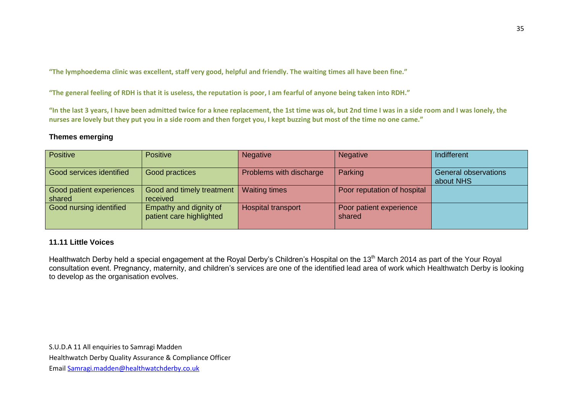**"The lymphoedema clinic was excellent, staff very good, helpful and friendly. The waiting times all have been fine."**

**"The general feeling of RDH is that it is useless, the reputation is poor, I am fearful of anyone being taken into RDH."**

**"In the last 3 years, I have been admitted twice for a knee replacement, the 1st time was ok, but 2nd time I was in a side room and I was lonely, the nurses are lovely but they put you in a side room and then forget you, I kept buzzing but most of the time no one came."**

# **Themes emerging**

| Positive                           | <b>Positive</b>                                    | <b>Negative</b>         | <b>Negative</b>                   | Indifferent                              |
|------------------------------------|----------------------------------------------------|-------------------------|-----------------------------------|------------------------------------------|
| Good services identified           | Good practices                                     | Problems with discharge | Parking                           | <b>General observations</b><br>about NHS |
| Good patient experiences<br>shared | Good and timely treatment  <br>received            | <b>Waiting times</b>    | Poor reputation of hospital       |                                          |
| Good nursing identified            | Empathy and dignity of<br>patient care highlighted | Hospital transport      | Poor patient experience<br>shared |                                          |

# **11.11 Little Voices**

Healthwatch Derby held a special engagement at the Royal Derby's Children's Hospital on the 13<sup>th</sup> March 2014 as part of the Your Royal consultation event. Pregnancy, maternity, and children's services are one of the identified lead area of work which Healthwatch Derby is looking to develop as the organisation evolves.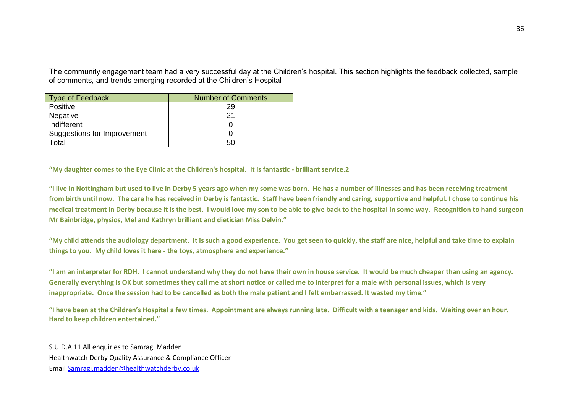The community engagement team had a very successful day at the Children's hospital. This section highlights the feedback collected, sample of comments, and trends emerging recorded at the Children's Hospital

| <b>Type of Feedback</b>     | <b>Number of Comments</b> |
|-----------------------------|---------------------------|
| Positive                    | 29                        |
| Negative                    |                           |
| Indifferent                 |                           |
| Suggestions for Improvement |                           |
| Total                       | 50                        |

**"My daughter comes to the Eye Clinic at the Children's hospital. It is fantastic - brilliant service.2**

**"I live in Nottingham but used to live in Derby 5 years ago when my some was born. He has a number of illnesses and has been receiving treatment from birth until now. The care he has received in Derby is fantastic. Staff have been friendly and caring, supportive and helpful. I chose to continue his medical treatment in Derby because it is the best. I would love my son to be able to give back to the hospital in some way. Recognition to hand surgeon Mr Bainbridge, physios, Mel and Kathryn brilliant and dietician Miss Delvin."**

**"My child attends the audiology department. It is such a good experience. You get seen to quickly, the staff are nice, helpful and take time to explain things to you. My child loves it here - the toys, atmosphere and experience."**

**"I am an interpreter for RDH. I cannot understand why they do not have their own in house service. It would be much cheaper than using an agency. Generally everything is OK but sometimes they call me at short notice or called me to interpret for a male with personal issues, which is very inappropriate. Once the session had to be cancelled as both the male patient and I felt embarrassed. It wasted my time."**

**"I have been at the Children's Hospital a few times. Appointment are always running late. Difficult with a teenager and kids. Waiting over an hour. Hard to keep children entertained."**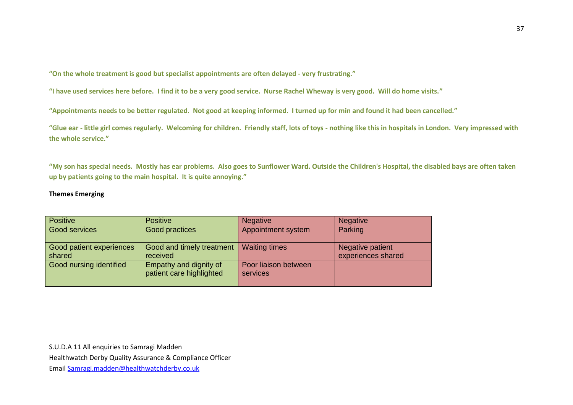**"On the whole treatment is good but specialist appointments are often delayed - very frustrating."**

**"I have used services here before. I find it to be a very good service. Nurse Rachel Wheway is very good. Will do home visits."**

**"Appointments needs to be better regulated. Not good at keeping informed. I turned up for min and found it had been cancelled."**

**"Glue ear - little girl comes regularly. Welcoming for children. Friendly staff, lots of toys - nothing like this in hospitals in London. Very impressed with the whole service."**

**"My son has special needs. Mostly has ear problems. Also goes to Sunflower Ward. Outside the Children's Hospital, the disabled bays are often taken up by patients going to the main hospital. It is quite annoying."**

#### **Themes Emerging**

| <b>Positive</b>                    | <b>Positive</b>                                    | <b>Negative</b>                  | <b>Negative</b>                        |
|------------------------------------|----------------------------------------------------|----------------------------------|----------------------------------------|
| Good services                      | Good practices                                     | Appointment system               | Parking                                |
| Good patient experiences<br>shared | Good and timely treatment<br>received              | <b>Waiting times</b>             | Negative patient<br>experiences shared |
| Good nursing identified            | Empathy and dignity of<br>patient care highlighted | Poor liaison between<br>services |                                        |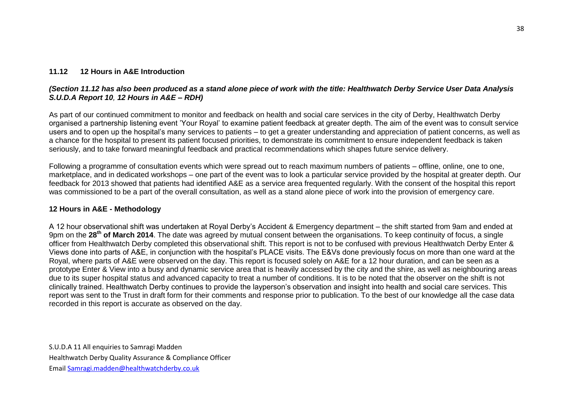### **11.12 12 Hours in A&E Introduction**

## *(Section 11.12 has also been produced as a stand alone piece of work with the title: Healthwatch Derby Service User Data Analysis S.U.D.A Report 10, 12 Hours in A&E – RDH)*

As part of our continued commitment to monitor and feedback on health and social care services in the city of Derby, Healthwatch Derby organised a partnership listening event 'Your Royal' to examine patient feedback at greater depth. The aim of the event was to consult service users and to open up the hospital's many services to patients – to get a greater understanding and appreciation of patient concerns, as well as a chance for the hospital to present its patient focused priorities, to demonstrate its commitment to ensure independent feedback is taken seriously, and to take forward meaningful feedback and practical recommendations which shapes future service delivery.

Following a programme of consultation events which were spread out to reach maximum numbers of patients – offline, online, one to one, marketplace, and in dedicated workshops – one part of the event was to look a particular service provided by the hospital at greater depth. Our feedback for 2013 showed that patients had identified A&E as a service area frequented regularly. With the consent of the hospital this report was commissioned to be a part of the overall consultation, as well as a stand alone piece of work into the provision of emergency care.

# **12 Hours in A&E - Methodology**

A 12 hour observational shift was undertaken at Royal Derby's Accident & Emergency department – the shift started from 9am and ended at 9pm on the **28th of March 2014**. The date was agreed by mutual consent between the organisations. To keep continuity of focus, a single officer from Healthwatch Derby completed this observational shift. This report is not to be confused with previous Healthwatch Derby Enter & Views done into parts of A&E, in conjunction with the hospital's PLACE visits. The E&Vs done previously focus on more than one ward at the Royal, where parts of A&E were observed on the day. This report is focused solely on A&E for a 12 hour duration, and can be seen as a prototype Enter & View into a busy and dynamic service area that is heavily accessed by the city and the shire, as well as neighbouring areas due to its super hospital status and advanced capacity to treat a number of conditions. It is to be noted that the observer on the shift is not clinically trained. Healthwatch Derby continues to provide the layperson's observation and insight into health and social care services. This report was sent to the Trust in draft form for their comments and response prior to publication. To the best of our knowledge all the case data recorded in this report is accurate as observed on the day.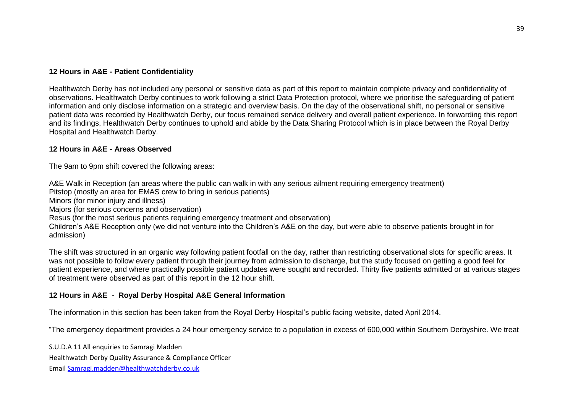### **12 Hours in A&E - Patient Confidentiality**

Healthwatch Derby has not included any personal or sensitive data as part of this report to maintain complete privacy and confidentiality of observations. Healthwatch Derby continues to work following a strict Data Protection protocol, where we prioritise the safeguarding of patient information and only disclose information on a strategic and overview basis. On the day of the observational shift, no personal or sensitive patient data was recorded by Healthwatch Derby, our focus remained service delivery and overall patient experience. In forwarding this report and its findings, Healthwatch Derby continues to uphold and abide by the Data Sharing Protocol which is in place between the Royal Derby Hospital and Healthwatch Derby.

#### **12 Hours in A&E - Areas Observed**

The 9am to 9pm shift covered the following areas:

A&E Walk in Reception (an areas where the public can walk in with any serious ailment requiring emergency treatment) Pitstop (mostly an area for EMAS crew to bring in serious patients) Minors (for minor injury and illness) Majors (for serious concerns and observation) Resus (for the most serious patients requiring emergency treatment and observation) Children's A&E Reception only (we did not venture into the Children's A&E on the day, but were able to observe patients brought in for admission)

The shift was structured in an organic way following patient footfall on the day, rather than restricting observational slots for specific areas. It was not possible to follow every patient through their journey from admission to discharge, but the study focused on getting a good feel for patient experience, and where practically possible patient updates were sought and recorded. Thirty five patients admitted or at various stages of treatment were observed as part of this report in the 12 hour shift.

### **12 Hours in A&E - Royal Derby Hospital A&E General Information**

The information in this section has been taken from the Royal Derby Hospital's public facing website, dated April 2014.

"The emergency department provides a 24 hour emergency service to a population in excess of 600,000 within Southern Derbyshire. We treat

S.U.D.A 11 All enquiries to Samragi Madden

Healthwatch Derby Quality Assurance & Compliance Officer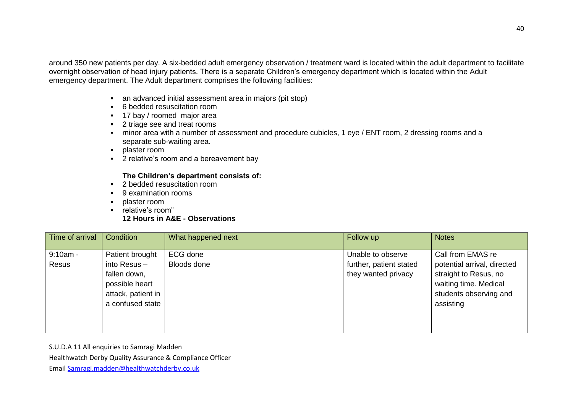around 350 new patients per day. A six-bedded adult emergency observation / treatment ward is located within the adult department to facilitate overnight observation of head injury patients. There is a separate Children's emergency department which is located within the Adult emergency department. The Adult department comprises the following facilities:

- an advanced initial assessment area in majors (pit stop)
- 6 bedded resuscitation room
- **17 bay / roomed major area**
- 2 triage see and treat rooms
- minor area with a number of assessment and procedure cubicles, 1 eye / ENT room, 2 dressing rooms and a separate sub-waiting area.
- **•** plaster room
- **2** relative's room and a bereavement bay

# **The Children's department consists of:**

- **2** bedded resuscitation room
- 9 examination rooms
- **•** plaster room
- **F** relative's room"

# **12 Hours in A&E - Observations**

| Time of arrival | Condition                                                                                  | What happened next | Follow up                                      | <b>Notes</b>                                                                                                         |
|-----------------|--------------------------------------------------------------------------------------------|--------------------|------------------------------------------------|----------------------------------------------------------------------------------------------------------------------|
| $9:10am -$      | Patient brought                                                                            | ECG done           | Unable to observe                              | Call from EMAS re                                                                                                    |
| Resus           | into Resus $-$<br>fallen down,<br>possible heart<br>attack, patient in<br>a confused state | Bloods done        | further, patient stated<br>they wanted privacy | potential arrival, directed<br>straight to Resus, no<br>waiting time. Medical<br>students observing and<br>assisting |

S.U.D.A 11 All enquiries to Samragi Madden

Healthwatch Derby Quality Assurance & Compliance Officer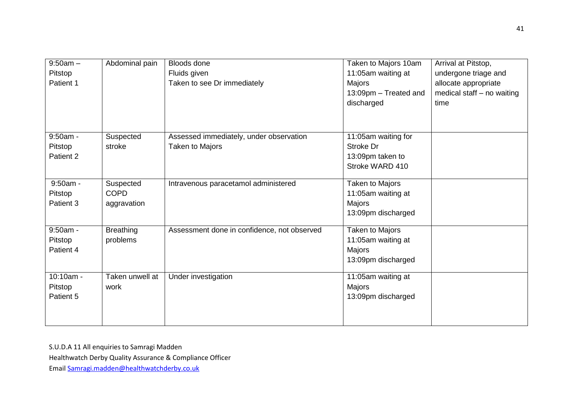| $9:50am -$<br>Pitstop<br>Patient 1 | Abdominal pain                          | <b>Bloods done</b><br>Fluids given<br>Taken to see Dr immediately | Taken to Majors 10am<br>11:05am waiting at<br>Majors<br>13:09pm - Treated and<br>discharged | Arrival at Pitstop,<br>undergone triage and<br>allocate appropriate<br>medical staff - no waiting<br>time |
|------------------------------------|-----------------------------------------|-------------------------------------------------------------------|---------------------------------------------------------------------------------------------|-----------------------------------------------------------------------------------------------------------|
| $9:50am -$<br>Pitstop<br>Patient 2 | Suspected<br>stroke                     | Assessed immediately, under observation<br>Taken to Majors        | 11:05am waiting for<br>Stroke Dr<br>13:09pm taken to<br>Stroke WARD 410                     |                                                                                                           |
| $9:50am -$<br>Pitstop<br>Patient 3 | Suspected<br><b>COPD</b><br>aggravation | Intravenous paracetamol administered                              | Taken to Majors<br>11:05am waiting at<br>Majors<br>13:09pm discharged                       |                                                                                                           |
| 9:50am -<br>Pitstop<br>Patient 4   | <b>Breathing</b><br>problems            | Assessment done in confidence, not observed                       | <b>Taken to Majors</b><br>11:05am waiting at<br>Majors<br>13:09pm discharged                |                                                                                                           |
| 10:10am -<br>Pitstop<br>Patient 5  | Taken unwell at<br>work                 | Under investigation                                               | 11:05am waiting at<br>Majors<br>13:09pm discharged                                          |                                                                                                           |

Healthwatch Derby Quality Assurance & Compliance Officer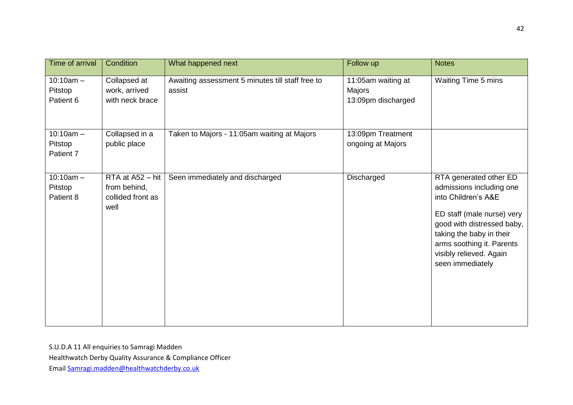| Time of arrival                     | Condition                                                     | What happened next                                         | Follow up                                          | <b>Notes</b>                                                                                                                                                                                                                                  |
|-------------------------------------|---------------------------------------------------------------|------------------------------------------------------------|----------------------------------------------------|-----------------------------------------------------------------------------------------------------------------------------------------------------------------------------------------------------------------------------------------------|
| $10:10am -$<br>Pitstop<br>Patient 6 | Collapsed at<br>work, arrived<br>with neck brace              | Awaiting assessment 5 minutes till staff free to<br>assist | 11:05am waiting at<br>Majors<br>13:09pm discharged | Waiting Time 5 mins                                                                                                                                                                                                                           |
| $10:10am -$<br>Pitstop<br>Patient 7 | Collapsed in a<br>public place                                | Taken to Majors - 11:05am waiting at Majors                | 13:09pm Treatment<br>ongoing at Majors             |                                                                                                                                                                                                                                               |
| $10:10am -$<br>Pitstop<br>Patient 8 | RTA at A52 - hit<br>from behind,<br>collided front as<br>well | Seen immediately and discharged                            | Discharged                                         | RTA generated other ED<br>admissions including one<br>into Children's A&E<br>ED staff (male nurse) very<br>good with distressed baby,<br>taking the baby in their<br>arms soothing it. Parents<br>visibly relieved. Again<br>seen immediately |

Healthwatch Derby Quality Assurance & Compliance Officer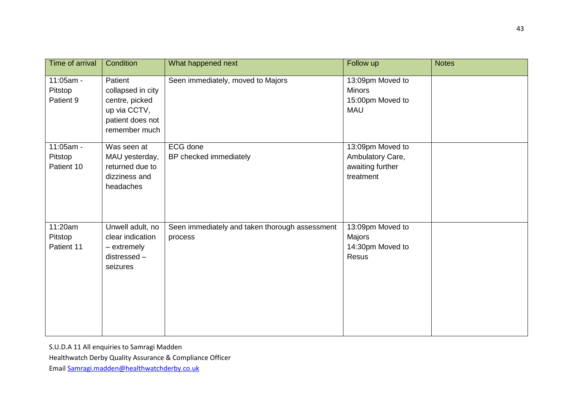| Time of arrival                    | Condition                                                                                           | What happened next                                        | Follow up                                                             | <b>Notes</b> |
|------------------------------------|-----------------------------------------------------------------------------------------------------|-----------------------------------------------------------|-----------------------------------------------------------------------|--------------|
| 11:05am -<br>Pitstop<br>Patient 9  | Patient<br>collapsed in city<br>centre, picked<br>up via CCTV,<br>patient does not<br>remember much | Seen immediately, moved to Majors                         | 13:09pm Moved to<br><b>Minors</b><br>15:00pm Moved to<br><b>MAU</b>   |              |
| 11:05am -<br>Pitstop<br>Patient 10 | Was seen at<br>MAU yesterday,<br>returned due to<br>dizziness and<br>headaches                      | ECG done<br>BP checked immediately                        | 13:09pm Moved to<br>Ambulatory Care,<br>awaiting further<br>treatment |              |
| 11:20am<br>Pitstop<br>Patient 11   | Unwell adult, no<br>clear indication<br>- extremely<br>distressed -<br>seizures                     | Seen immediately and taken thorough assessment<br>process | 13:09pm Moved to<br>Majors<br>14:30pm Moved to<br>Resus               |              |

Healthwatch Derby Quality Assurance & Compliance Officer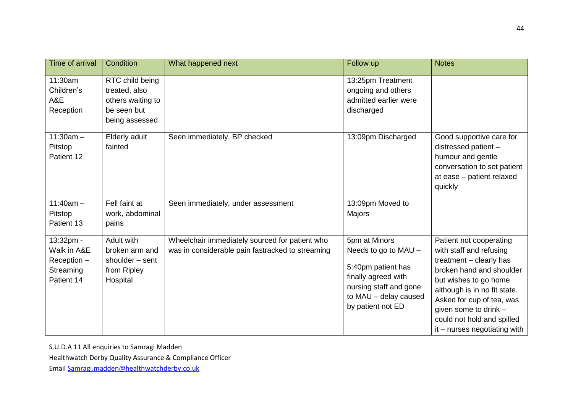| <b>Time of arrival</b>                                             | Condition                                                                              | What happened next                                                                                 | Follow up                                                                                                                                                  | <b>Notes</b>                                                                                                                                                                                                                                                                             |
|--------------------------------------------------------------------|----------------------------------------------------------------------------------------|----------------------------------------------------------------------------------------------------|------------------------------------------------------------------------------------------------------------------------------------------------------------|------------------------------------------------------------------------------------------------------------------------------------------------------------------------------------------------------------------------------------------------------------------------------------------|
| 11:30am<br>Children's<br>A&E<br>Reception                          | RTC child being<br>treated, also<br>others waiting to<br>be seen but<br>being assessed |                                                                                                    | 13:25pm Treatment<br>ongoing and others<br>admitted earlier were<br>discharged                                                                             |                                                                                                                                                                                                                                                                                          |
| $11:30am -$<br>Pitstop<br>Patient 12                               | Elderly adult<br>fainted                                                               | Seen immediately, BP checked                                                                       | 13:09pm Discharged                                                                                                                                         | Good supportive care for<br>distressed patient -<br>humour and gentle<br>conversation to set patient<br>at ease - patient relaxed<br>quickly                                                                                                                                             |
| $11:40am -$<br>Pitstop<br>Patient 13                               | Fell faint at<br>work, abdominal<br>pains                                              | Seen immediately, under assessment                                                                 | 13:09pm Moved to<br><b>Majors</b>                                                                                                                          |                                                                                                                                                                                                                                                                                          |
| 13:32pm -<br>Walk in A&E<br>Reception -<br>Streaming<br>Patient 14 | Adult with<br>broken arm and<br>shoulder - sent<br>from Ripley<br>Hospital             | Wheelchair immediately sourced for patient who<br>was in considerable pain fastracked to streaming | 5pm at Minors<br>Needs to go to MAU -<br>5:40pm patient has<br>finally agreed with<br>nursing staff and gone<br>to MAU - delay caused<br>by patient not ED | Patient not cooperating<br>with staff and refusing<br>treatment - clearly has<br>broken hand and shoulder<br>but wishes to go home<br>although is in no fit state.<br>Asked for cup of tea, was<br>given some to drink -<br>could not hold and spilled<br>$it$ – nurses negotiating with |

Healthwatch Derby Quality Assurance & Compliance Officer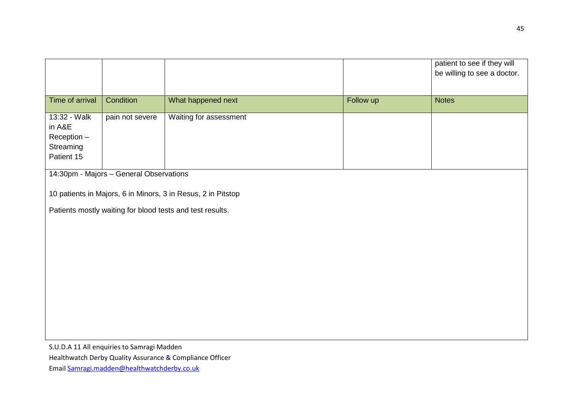|                                                                  |                                            |                                                              |           | patient to see if they will<br>be willing to see a doctor. |
|------------------------------------------------------------------|--------------------------------------------|--------------------------------------------------------------|-----------|------------------------------------------------------------|
| Time of arrival                                                  | Condition                                  | What happened next                                           | Follow up | <b>Notes</b>                                               |
| 13:32 - Walk<br>in A&E<br>Reception -<br>Streaming<br>Patient 15 | pain not severe                            | Waiting for assessment                                       |           |                                                            |
|                                                                  | 14:30pm - Majors - General Observations    |                                                              |           |                                                            |
|                                                                  |                                            | 10 patients in Majors, 6 in Minors, 3 in Resus, 2 in Pitstop |           |                                                            |
|                                                                  |                                            | Patients mostly waiting for blood tests and test results.    |           |                                                            |
|                                                                  |                                            |                                                              |           |                                                            |
|                                                                  |                                            |                                                              |           |                                                            |
|                                                                  |                                            |                                                              |           |                                                            |
|                                                                  |                                            |                                                              |           |                                                            |
|                                                                  |                                            |                                                              |           |                                                            |
|                                                                  |                                            |                                                              |           |                                                            |
|                                                                  |                                            |                                                              |           |                                                            |
|                                                                  | S.U.D.A 11 All enquiries to Samragi Madden | Healthwatch Derby Quality Assurance & Compliance Officer     |           |                                                            |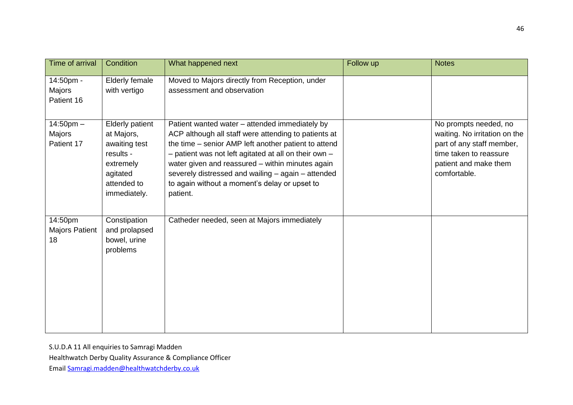| Time of arrival                        | Condition                                                                                                                  | What happened next                                                                                                                                                                                                                                                                                                                                                                             | Follow up | <b>Notes</b>                                                                                                                                           |
|----------------------------------------|----------------------------------------------------------------------------------------------------------------------------|------------------------------------------------------------------------------------------------------------------------------------------------------------------------------------------------------------------------------------------------------------------------------------------------------------------------------------------------------------------------------------------------|-----------|--------------------------------------------------------------------------------------------------------------------------------------------------------|
| 14:50pm -<br>Majors<br>Patient 16      | <b>Elderly female</b><br>with vertigo                                                                                      | Moved to Majors directly from Reception, under<br>assessment and observation                                                                                                                                                                                                                                                                                                                   |           |                                                                                                                                                        |
| $14:50$ pm $-$<br>Majors<br>Patient 17 | <b>Elderly patient</b><br>at Majors,<br>awaiting test<br>results -<br>extremely<br>agitated<br>attended to<br>immediately. | Patient wanted water - attended immediately by<br>ACP although all staff were attending to patients at<br>the time - senior AMP left another patient to attend<br>- patient was not left agitated at all on their own -<br>water given and reassured - within minutes again<br>severely distressed and wailing - again - attended<br>to again without a moment's delay or upset to<br>patient. |           | No prompts needed, no<br>waiting. No irritation on the<br>part of any staff member,<br>time taken to reassure<br>patient and make them<br>comfortable. |
| 14:50pm<br><b>Majors Patient</b><br>18 | Constipation<br>and prolapsed<br>bowel, urine<br>problems                                                                  | Catheder needed, seen at Majors immediately                                                                                                                                                                                                                                                                                                                                                    |           |                                                                                                                                                        |

Healthwatch Derby Quality Assurance & Compliance Officer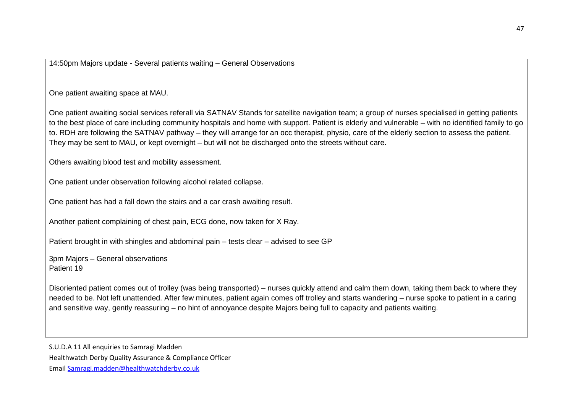14:50pm Majors update - Several patients waiting – General Observations

One patient awaiting space at MAU.

One patient awaiting social services referall via SATNAV Stands for satellite navigation team; a group of nurses specialised in getting patients to the best place of care including community hospitals and home with support. Patient is elderly and vulnerable – with no identified family to go to. RDH are following the SATNAV pathway – they will arrange for an occ therapist, physio, care of the elderly section to assess the patient. They may be sent to MAU, or kept overnight – but will not be discharged onto the streets without care.

Others awaiting blood test and mobility assessment.

One patient under observation following alcohol related collapse.

One patient has had a fall down the stairs and a car crash awaiting result.

Another patient complaining of chest pain, ECG done, now taken for X Ray.

Patient brought in with shingles and abdominal pain – tests clear – advised to see GP

3pm Majors – General observations Patient 19

Disoriented patient comes out of trolley (was being transported) – nurses quickly attend and calm them down, taking them back to where they needed to be. Not left unattended. After few minutes, patient again comes off trolley and starts wandering – nurse spoke to patient in a caring and sensitive way, gently reassuring – no hint of annoyance despite Majors being full to capacity and patients waiting.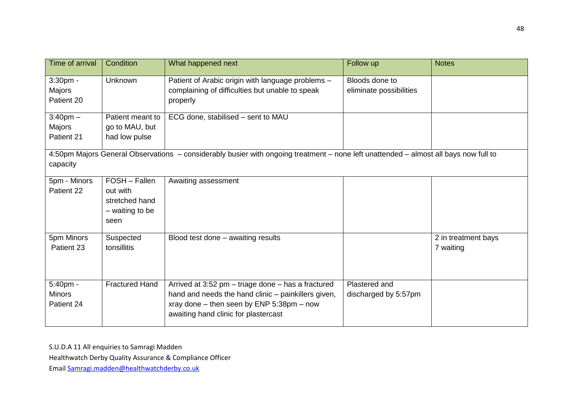| Time of arrival                         | Condition                                                                | What happened next                                                                                                                                                                             | Follow up                                 | <b>Notes</b>                     |
|-----------------------------------------|--------------------------------------------------------------------------|------------------------------------------------------------------------------------------------------------------------------------------------------------------------------------------------|-------------------------------------------|----------------------------------|
| $3:30$ pm -<br>Majors<br>Patient 20     | <b>Unknown</b>                                                           | Patient of Arabic origin with language problems -<br>complaining of difficulties but unable to speak<br>properly                                                                               | Bloods done to<br>eliminate possibilities |                                  |
| $3:40$ pm $-$<br>Majors<br>Patient 21   | Patient meant to<br>go to MAU, but<br>had low pulse                      | ECG done, stabilised - sent to MAU                                                                                                                                                             |                                           |                                  |
| capacity                                |                                                                          | 4:50pm Majors General Observations - considerably busier with ongoing treatment - none left unattended - almost all bays now full to                                                           |                                           |                                  |
| 5pm - Minors<br>Patient 22              | FOSH - Fallen<br>out with<br>stretched hand<br>$-$ waiting to be<br>seen | Awaiting assessment                                                                                                                                                                            |                                           |                                  |
| 5pm Minors<br>Patient 23                | Suspected<br>tonsillitis                                                 | Blood test done - awaiting results                                                                                                                                                             |                                           | 2 in treatment bays<br>7 waiting |
| 5:40pm -<br><b>Minors</b><br>Patient 24 | <b>Fractured Hand</b>                                                    | Arrived at 3:52 pm - triage done - has a fractured<br>hand and needs the hand clinic - painkillers given,<br>xray done - then seen by ENP 5:38pm - now<br>awaiting hand clinic for plastercast | Plastered and<br>discharged by 5:57pm     |                                  |

Healthwatch Derby Quality Assurance & Compliance Officer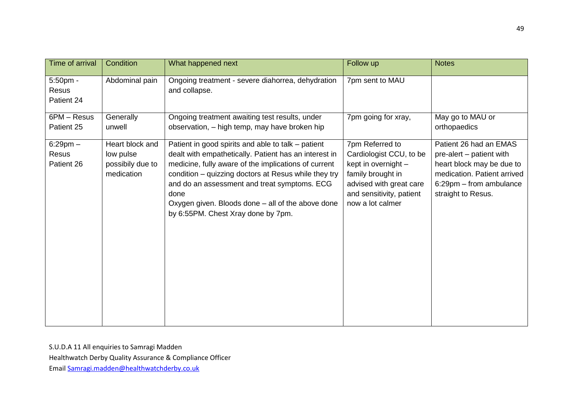| Time of arrival                      | Condition                                                      | What happened next                                                                                                                                                                                                                                                                                                                                                             | Follow up                                                                                                                                                         | <b>Notes</b>                                                                                                                                                    |
|--------------------------------------|----------------------------------------------------------------|--------------------------------------------------------------------------------------------------------------------------------------------------------------------------------------------------------------------------------------------------------------------------------------------------------------------------------------------------------------------------------|-------------------------------------------------------------------------------------------------------------------------------------------------------------------|-----------------------------------------------------------------------------------------------------------------------------------------------------------------|
| $5:50$ pm -<br>Resus<br>Patient 24   | Abdominal pain                                                 | Ongoing treatment - severe diahorrea, dehydration<br>and collapse.                                                                                                                                                                                                                                                                                                             | 7pm sent to MAU                                                                                                                                                   |                                                                                                                                                                 |
| 6PM - Resus<br>Patient 25            | Generally<br>unwell                                            | Ongoing treatment awaiting test results, under<br>observation, - high temp, may have broken hip                                                                                                                                                                                                                                                                                | 7pm going for xray,                                                                                                                                               | May go to MAU or<br>orthopaedics                                                                                                                                |
| $6:29$ pm $-$<br>Resus<br>Patient 26 | Heart block and<br>low pulse<br>possibily due to<br>medication | Patient in good spirits and able to talk – patient<br>dealt with empathetically. Patient has an interest in<br>medicine, fully aware of the implications of current<br>condition - quizzing doctors at Resus while they try<br>and do an assessment and treat symptoms. ECG<br>done<br>Oxygen given. Bloods done – all of the above done<br>by 6:55PM. Chest Xray done by 7pm. | 7pm Referred to<br>Cardiologist CCU, to be<br>kept in overnight -<br>family brought in<br>advised with great care<br>and sensitivity, patient<br>now a lot calmer | Patient 26 had an EMAS<br>pre-alert – patient with<br>heart block may be due to<br>medication. Patient arrived<br>6:29pm - from ambulance<br>straight to Resus. |

Healthwatch Derby Quality Assurance & Compliance Officer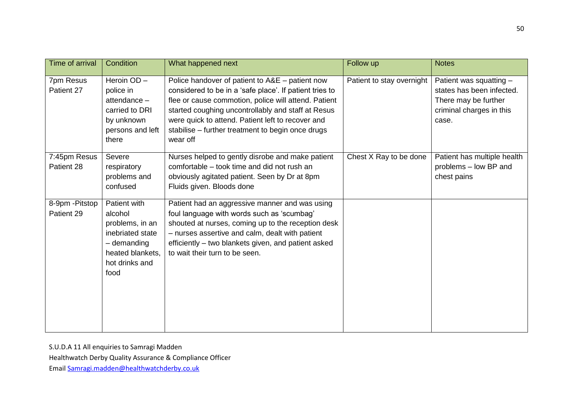| Time of arrival               | Condition                                                                                                                     | What happened next                                                                                                                                                                                                                                                                                                                             | Follow up                 | <b>Notes</b>                                                                                                      |
|-------------------------------|-------------------------------------------------------------------------------------------------------------------------------|------------------------------------------------------------------------------------------------------------------------------------------------------------------------------------------------------------------------------------------------------------------------------------------------------------------------------------------------|---------------------------|-------------------------------------------------------------------------------------------------------------------|
| 7pm Resus<br>Patient 27       | Heroin OD-<br>police in<br>attendance -<br>carried to DRI<br>by unknown<br>persons and left<br>there                          | Police handover of patient to A&E - patient now<br>considered to be in a 'safe place'. If patient tries to<br>flee or cause commotion, police will attend. Patient<br>started coughing uncontrollably and staff at Resus<br>were quick to attend. Patient left to recover and<br>stabilise - further treatment to begin once drugs<br>wear off | Patient to stay overnight | Patient was squatting -<br>states has been infected.<br>There may be further<br>criminal charges in this<br>case. |
| 7:45pm Resus<br>Patient 28    | Severe<br>respiratory<br>problems and<br>confused                                                                             | Nurses helped to gently disrobe and make patient<br>comfortable – took time and did not rush an<br>obviously agitated patient. Seen by Dr at 8pm<br>Fluids given. Bloods done                                                                                                                                                                  | Chest X Ray to be done    | Patient has multiple health<br>problems - low BP and<br>chest pains                                               |
| 8-9pm - Pitstop<br>Patient 29 | Patient with<br>alcohol<br>problems, in an<br>inebriated state<br>$-$ demanding<br>heated blankets,<br>hot drinks and<br>food | Patient had an aggressive manner and was using<br>foul language with words such as 'scumbag'<br>shouted at nurses, coming up to the reception desk<br>- nurses assertive and calm, dealt with patient<br>efficiently – two blankets given, and patient asked<br>to wait their turn to be seen.                                                 |                           |                                                                                                                   |

Healthwatch Derby Quality Assurance & Compliance Officer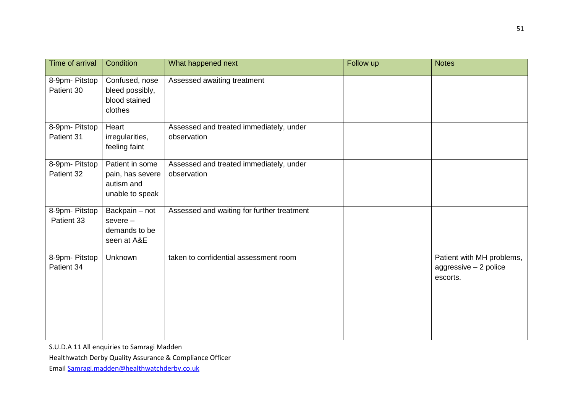| Time of arrival              | Condition                                                            | What happened next                                     | Follow up | <b>Notes</b>                                                   |
|------------------------------|----------------------------------------------------------------------|--------------------------------------------------------|-----------|----------------------------------------------------------------|
| 8-9pm- Pitstop<br>Patient 30 | Confused, nose<br>bleed possibly,<br>blood stained<br>clothes        | Assessed awaiting treatment                            |           |                                                                |
| 8-9pm- Pitstop<br>Patient 31 | Heart<br>irregularities,<br>feeling faint                            | Assessed and treated immediately, under<br>observation |           |                                                                |
| 8-9pm- Pitstop<br>Patient 32 | Patient in some<br>pain, has severe<br>autism and<br>unable to speak | Assessed and treated immediately, under<br>observation |           |                                                                |
| 8-9pm- Pitstop<br>Patient 33 | Backpain - not<br>$severe -$<br>demands to be<br>seen at A&E         | Assessed and waiting for further treatment             |           |                                                                |
| 8-9pm- Pitstop<br>Patient 34 | Unknown                                                              | taken to confidential assessment room                  |           | Patient with MH problems,<br>aggressive - 2 police<br>escorts. |

Healthwatch Derby Quality Assurance & Compliance Officer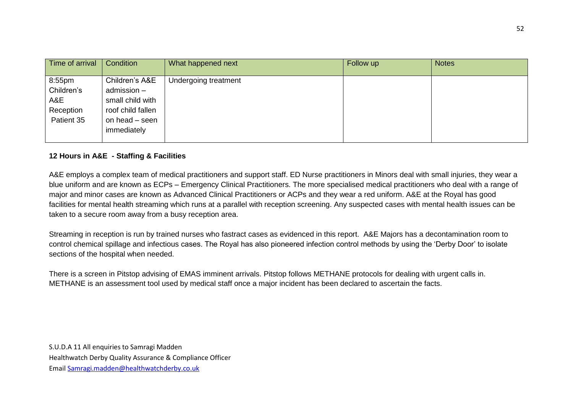| Time of arrival                                        | Condition                                                                                               | What happened next   | Follow up | <b>Notes</b> |
|--------------------------------------------------------|---------------------------------------------------------------------------------------------------------|----------------------|-----------|--------------|
| 8:55pm<br>Children's<br>A&E<br>Reception<br>Patient 35 | Children's A&E<br>admission -<br>small child with<br>roof child fallen<br>on head - seen<br>immediately | Undergoing treatment |           |              |

### **12 Hours in A&E - Staffing & Facilities**

A&E employs a complex team of medical practitioners and support staff. ED Nurse practitioners in Minors deal with small injuries, they wear a blue uniform and are known as ECPs – Emergency Clinical Practitioners. The more specialised medical practitioners who deal with a range of major and minor cases are known as Advanced Clinical Practitioners or ACPs and they wear a red uniform. A&E at the Royal has good facilities for mental health streaming which runs at a parallel with reception screening. Any suspected cases with mental health issues can be taken to a secure room away from a busy reception area.

Streaming in reception is run by trained nurses who fastract cases as evidenced in this report. A&E Majors has a decontamination room to control chemical spillage and infectious cases. The Royal has also pioneered infection control methods by using the 'Derby Door' to isolate sections of the hospital when needed.

There is a screen in Pitstop advising of EMAS imminent arrivals. Pitstop follows METHANE protocols for dealing with urgent calls in. METHANE is an assessment tool used by medical staff once a major incident has been declared to ascertain the facts.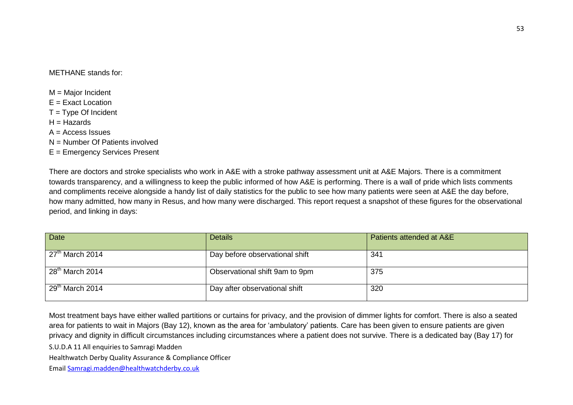#### METHANE stands for:

- M = Major Incident
- $F =$  Exact Location
- $T = True$  Of Incident
- $H = H$ azards
- $A =$  Access Issues
- N = Number Of Patients involved
- E = Emergency Services Present

There are doctors and stroke specialists who work in A&E with a stroke pathway assessment unit at A&E Majors. There is a commitment towards transparency, and a willingness to keep the public informed of how A&E is performing. There is a wall of pride which lists comments and compliments receive alongside a handy list of daily statistics for the public to see how many patients were seen at A&E the day before, how many admitted, how many in Resus, and how many were discharged. This report request a snapshot of these figures for the observational period, and linking in days:

| <b>Date</b>       | <b>Details</b>                 | Patients attended at A&E |
|-------------------|--------------------------------|--------------------------|
| $27th$ March 2014 | Day before observational shift | 341                      |
| $28th$ March 2014 | Observational shift 9am to 9pm | 375                      |
| $29th$ March 2014 | Day after observational shift  | 320                      |

Most treatment bays have either walled partitions or curtains for privacy, and the provision of dimmer lights for comfort. There is also a seated area for patients to wait in Majors (Bay 12), known as the area for 'ambulatory' patients. Care has been given to ensure patients are given privacy and dignity in difficult circumstances including circumstances where a patient does not survive. There is a dedicated bay (Bay 17) for

S.U.D.A 11 All enquiries to Samragi Madden

Healthwatch Derby Quality Assurance & Compliance Officer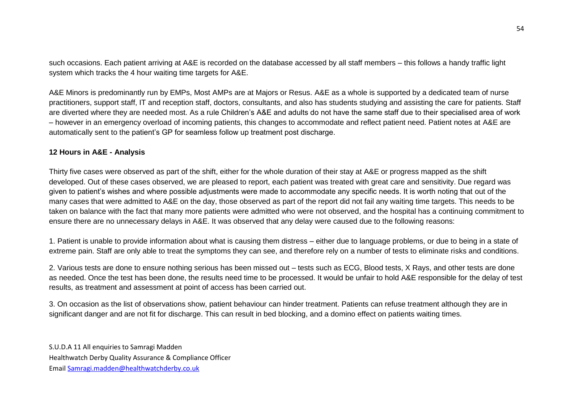such occasions. Each patient arriving at A&E is recorded on the database accessed by all staff members – this follows a handy traffic light system which tracks the 4 hour waiting time targets for A&E.

A&E Minors is predominantly run by EMPs, Most AMPs are at Majors or Resus. A&E as a whole is supported by a dedicated team of nurse practitioners, support staff, IT and reception staff, doctors, consultants, and also has students studying and assisting the care for patients. Staff are diverted where they are needed most. As a rule Children's A&E and adults do not have the same staff due to their specialised area of work – however in an emergency overload of incoming patients, this changes to accommodate and reflect patient need. Patient notes at A&E are automatically sent to the patient's GP for seamless follow up treatment post discharge.

#### **12 Hours in A&E - Analysis**

Thirty five cases were observed as part of the shift, either for the whole duration of their stay at A&E or progress mapped as the shift developed. Out of these cases observed, we are pleased to report, each patient was treated with great care and sensitivity. Due regard was given to patient's wishes and where possible adjustments were made to accommodate any specific needs. It is worth noting that out of the many cases that were admitted to A&E on the day, those observed as part of the report did not fail any waiting time targets. This needs to be taken on balance with the fact that many more patients were admitted who were not observed, and the hospital has a continuing commitment to ensure there are no unnecessary delays in A&E. It was observed that any delay were caused due to the following reasons:

1. Patient is unable to provide information about what is causing them distress – either due to language problems, or due to being in a state of extreme pain. Staff are only able to treat the symptoms they can see, and therefore rely on a number of tests to eliminate risks and conditions.

2. Various tests are done to ensure nothing serious has been missed out – tests such as ECG, Blood tests, X Rays, and other tests are done as needed. Once the test has been done, the results need time to be processed. It would be unfair to hold A&E responsible for the delay of test results, as treatment and assessment at point of access has been carried out.

3. On occasion as the list of observations show, patient behaviour can hinder treatment. Patients can refuse treatment although they are in significant danger and are not fit for discharge. This can result in bed blocking, and a domino effect on patients waiting times.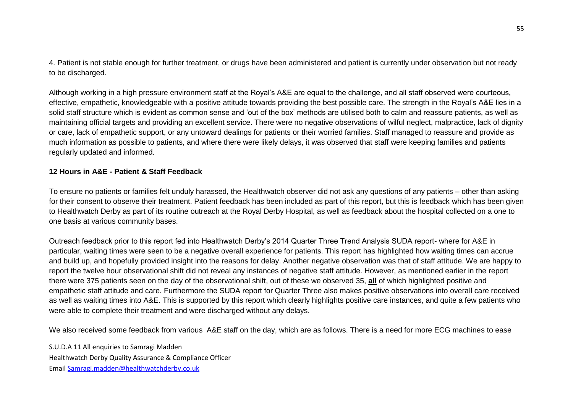4. Patient is not stable enough for further treatment, or drugs have been administered and patient is currently under observation but not ready to be discharged.

Although working in a high pressure environment staff at the Royal's A&E are equal to the challenge, and all staff observed were courteous, effective, empathetic, knowledgeable with a positive attitude towards providing the best possible care. The strength in the Royal's A&E lies in a solid staff structure which is evident as common sense and 'out of the box' methods are utilised both to calm and reassure patients, as well as maintaining official targets and providing an excellent service. There were no negative observations of wilful neglect, malpractice, lack of dignity or care, lack of empathetic support, or any untoward dealings for patients or their worried families. Staff managed to reassure and provide as much information as possible to patients, and where there were likely delays, it was observed that staff were keeping families and patients regularly updated and informed.

#### **12 Hours in A&E - Patient & Staff Feedback**

To ensure no patients or families felt unduly harassed, the Healthwatch observer did not ask any questions of any patients – other than asking for their consent to observe their treatment. Patient feedback has been included as part of this report, but this is feedback which has been given to Healthwatch Derby as part of its routine outreach at the Royal Derby Hospital, as well as feedback about the hospital collected on a one to one basis at various community bases.

Outreach feedback prior to this report fed into Healthwatch Derby's 2014 Quarter Three Trend Analysis SUDA report- where for A&E in particular, waiting times were seen to be a negative overall experience for patients. This report has highlighted how waiting times can accrue and build up, and hopefully provided insight into the reasons for delay. Another negative observation was that of staff attitude. We are happy to report the twelve hour observational shift did not reveal any instances of negative staff attitude. However, as mentioned earlier in the report there were 375 patients seen on the day of the observational shift, out of these we observed 35, **all** of which highlighted positive and empathetic staff attitude and care. Furthermore the SUDA report for Quarter Three also makes positive observations into overall care received as well as waiting times into A&E. This is supported by this report which clearly highlights positive care instances, and quite a few patients who were able to complete their treatment and were discharged without any delays.

We also received some feedback from various A&E staff on the day, which are as follows. There is a need for more ECG machines to ease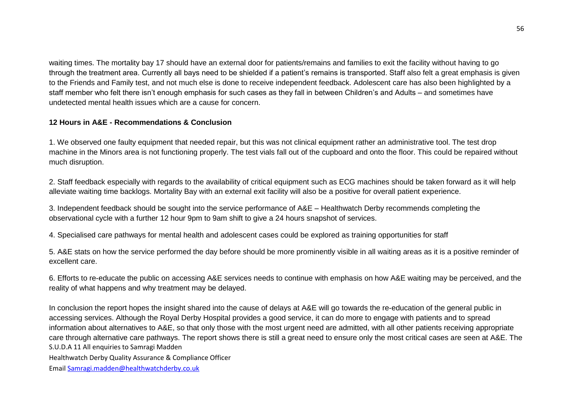waiting times. The mortality bay 17 should have an external door for patients/remains and families to exit the facility without having to go through the treatment area. Currently all bays need to be shielded if a patient's remains is transported. Staff also felt a great emphasis is given to the Friends and Family test, and not much else is done to receive independent feedback. Adolescent care has also been highlighted by a staff member who felt there isn't enough emphasis for such cases as they fall in between Children's and Adults – and sometimes have undetected mental health issues which are a cause for concern.

### **12 Hours in A&E - Recommendations & Conclusion**

1. We observed one faulty equipment that needed repair, but this was not clinical equipment rather an administrative tool. The test drop machine in the Minors area is not functioning properly. The test vials fall out of the cupboard and onto the floor. This could be repaired without much disruption.

2. Staff feedback especially with regards to the availability of critical equipment such as ECG machines should be taken forward as it will help alleviate waiting time backlogs. Mortality Bay with an external exit facility will also be a positive for overall patient experience.

3. Independent feedback should be sought into the service performance of A&E – Healthwatch Derby recommends completing the observational cycle with a further 12 hour 9pm to 9am shift to give a 24 hours snapshot of services.

4. Specialised care pathways for mental health and adolescent cases could be explored as training opportunities for staff

5. A&E stats on how the service performed the day before should be more prominently visible in all waiting areas as it is a positive reminder of excellent care.

6. Efforts to re-educate the public on accessing A&E services needs to continue with emphasis on how A&E waiting may be perceived, and the reality of what happens and why treatment may be delayed.

S.U.D.A 11 All enquiries to Samragi Madden In conclusion the report hopes the insight shared into the cause of delays at A&E will go towards the re-education of the general public in accessing services. Although the Royal Derby Hospital provides a good service, it can do more to engage with patients and to spread information about alternatives to A&E, so that only those with the most urgent need are admitted, with all other patients receiving appropriate care through alternative care pathways. The report shows there is still a great need to ensure only the most critical cases are seen at A&E. The

Healthwatch Derby Quality Assurance & Compliance Officer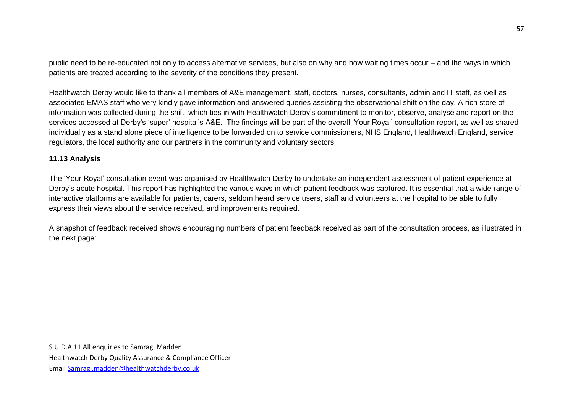public need to be re-educated not only to access alternative services, but also on why and how waiting times occur – and the ways in which patients are treated according to the severity of the conditions they present.

Healthwatch Derby would like to thank all members of A&E management, staff, doctors, nurses, consultants, admin and IT staff, as well as associated EMAS staff who very kindly gave information and answered queries assisting the observational shift on the day. A rich store of information was collected during the shift which ties in with Healthwatch Derby's commitment to monitor, observe, analyse and report on the services accessed at Derby's 'super' hospital's A&E. The findings will be part of the overall 'Your Royal' consultation report, as well as shared individually as a stand alone piece of intelligence to be forwarded on to service commissioners, NHS England, Healthwatch England, service regulators, the local authority and our partners in the community and voluntary sectors.

#### **11.13 Analysis**

The 'Your Royal' consultation event was organised by Healthwatch Derby to undertake an independent assessment of patient experience at Derby's acute hospital. This report has highlighted the various ways in which patient feedback was captured. It is essential that a wide range of interactive platforms are available for patients, carers, seldom heard service users, staff and volunteers at the hospital to be able to fully express their views about the service received, and improvements required.

A snapshot of feedback received shows encouraging numbers of patient feedback received as part of the consultation process, as illustrated in the next page: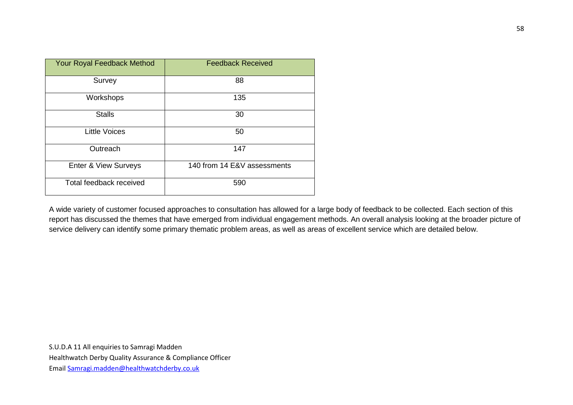| Your Royal Feedback Method      | <b>Feedback Received</b>    |  |  |
|---------------------------------|-----------------------------|--|--|
| Survey                          | 88                          |  |  |
| Workshops                       | 135                         |  |  |
| <b>Stalls</b>                   | 30                          |  |  |
| <b>Little Voices</b>            | 50                          |  |  |
| Outreach                        | 147                         |  |  |
| <b>Enter &amp; View Surveys</b> | 140 from 14 E&V assessments |  |  |
| Total feedback received         | 590                         |  |  |

A wide variety of customer focused approaches to consultation has allowed for a large body of feedback to be collected. Each section of this report has discussed the themes that have emerged from individual engagement methods. An overall analysis looking at the broader picture of service delivery can identify some primary thematic problem areas, as well as areas of excellent service which are detailed below.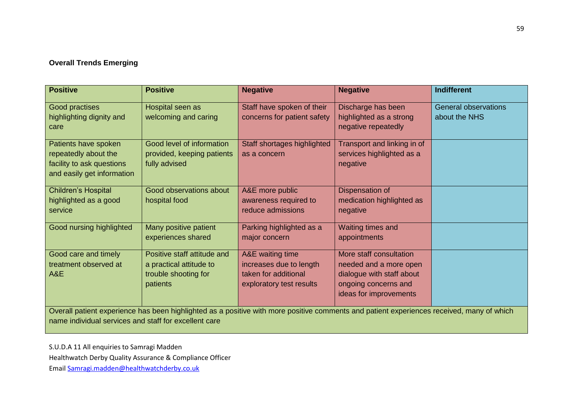# **Overall Trends Emerging**

| <b>Positive</b>                                                                                                                                                                                    | <b>Positive</b>                                                                            | <b>Negative</b>                                                                                 | <b>Negative</b>                                                                                                                  | <b>Indifferent</b>                           |  |
|----------------------------------------------------------------------------------------------------------------------------------------------------------------------------------------------------|--------------------------------------------------------------------------------------------|-------------------------------------------------------------------------------------------------|----------------------------------------------------------------------------------------------------------------------------------|----------------------------------------------|--|
| Good practises<br>highlighting dignity and                                                                                                                                                         | Hospital seen as<br>welcoming and caring                                                   | Staff have spoken of their<br>concerns for patient safety                                       | Discharge has been<br>highlighted as a strong<br>negative repeatedly                                                             | <b>General observations</b><br>about the NHS |  |
| care<br>Patients have spoken                                                                                                                                                                       | Good level of information                                                                  | Staff shortages highlighted                                                                     | Transport and linking in of                                                                                                      |                                              |  |
| repeatedly about the<br>facility to ask questions<br>and easily get information                                                                                                                    | provided, keeping patients<br>fully advised                                                | as a concern                                                                                    | services highlighted as a<br>negative                                                                                            |                                              |  |
| <b>Children's Hospital</b><br>highlighted as a good<br>service                                                                                                                                     | Good observations about<br>hospital food                                                   | A&E more public<br>awareness required to<br>reduce admissions                                   | Dispensation of<br>medication highlighted as<br>negative                                                                         |                                              |  |
| Good nursing highlighted                                                                                                                                                                           | Many positive patient<br>experiences shared                                                | Parking highlighted as a<br>major concern                                                       | Waiting times and<br>appointments                                                                                                |                                              |  |
| Good care and timely<br>treatment observed at<br>A&E                                                                                                                                               | Positive staff attitude and<br>a practical attitude to<br>trouble shooting for<br>patients | A&E waiting time<br>increases due to length<br>taken for additional<br>exploratory test results | More staff consultation<br>needed and a more open<br>dialogue with staff about<br>ongoing concerns and<br>ideas for improvements |                                              |  |
| Overall patient experience has been highlighted as a positive with more positive comments and patient experiences received, many of which<br>name individual services and staff for excellent care |                                                                                            |                                                                                                 |                                                                                                                                  |                                              |  |

S.U.D.A 11 All enquiries to Samragi Madden

Healthwatch Derby Quality Assurance & Compliance Officer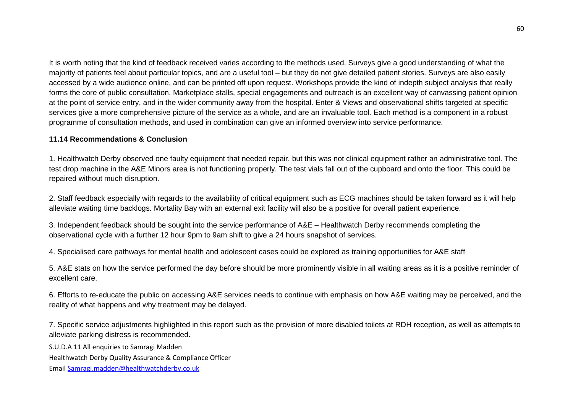It is worth noting that the kind of feedback received varies according to the methods used. Surveys give a good understanding of what the majority of patients feel about particular topics, and are a useful tool – but they do not give detailed patient stories. Surveys are also easily accessed by a wide audience online, and can be printed off upon request. Workshops provide the kind of indepth subject analysis that really forms the core of public consultation. Marketplace stalls, special engagements and outreach is an excellent way of canvassing patient opinion at the point of service entry, and in the wider community away from the hospital. Enter & Views and observational shifts targeted at specific services give a more comprehensive picture of the service as a whole, and are an invaluable tool. Each method is a component in a robust programme of consultation methods, and used in combination can give an informed overview into service performance.

#### **11.14 Recommendations & Conclusion**

1. Healthwatch Derby observed one faulty equipment that needed repair, but this was not clinical equipment rather an administrative tool. The test drop machine in the A&E Minors area is not functioning properly. The test vials fall out of the cupboard and onto the floor. This could be repaired without much disruption.

2. Staff feedback especially with regards to the availability of critical equipment such as ECG machines should be taken forward as it will help alleviate waiting time backlogs. Mortality Bay with an external exit facility will also be a positive for overall patient experience.

3. Independent feedback should be sought into the service performance of A&E – Healthwatch Derby recommends completing the observational cycle with a further 12 hour 9pm to 9am shift to give a 24 hours snapshot of services.

4. Specialised care pathways for mental health and adolescent cases could be explored as training opportunities for A&E staff

5. A&E stats on how the service performed the day before should be more prominently visible in all waiting areas as it is a positive reminder of excellent care.

6. Efforts to re-educate the public on accessing A&E services needs to continue with emphasis on how A&E waiting may be perceived, and the reality of what happens and why treatment may be delayed.

7. Specific service adjustments highlighted in this report such as the provision of more disabled toilets at RDH reception, as well as attempts to alleviate parking distress is recommended.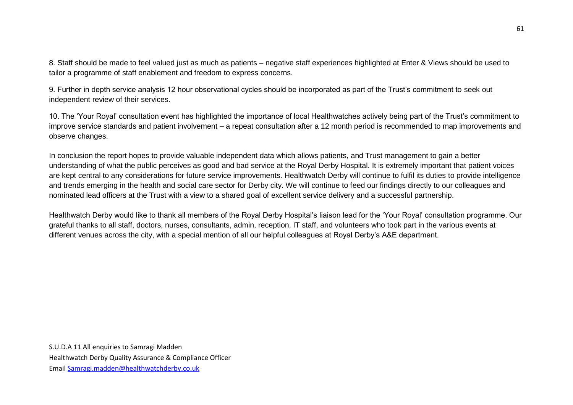8. Staff should be made to feel valued just as much as patients – negative staff experiences highlighted at Enter & Views should be used to tailor a programme of staff enablement and freedom to express concerns.

9. Further in depth service analysis 12 hour observational cycles should be incorporated as part of the Trust's commitment to seek out independent review of their services.

10. The 'Your Royal' consultation event has highlighted the importance of local Healthwatches actively being part of the Trust's commitment to improve service standards and patient involvement – a repeat consultation after a 12 month period is recommended to map improvements and observe changes.

In conclusion the report hopes to provide valuable independent data which allows patients, and Trust management to gain a better understanding of what the public perceives as good and bad service at the Royal Derby Hospital. It is extremely important that patient voices are kept central to any considerations for future service improvements. Healthwatch Derby will continue to fulfil its duties to provide intelligence and trends emerging in the health and social care sector for Derby city. We will continue to feed our findings directly to our colleagues and nominated lead officers at the Trust with a view to a shared goal of excellent service delivery and a successful partnership.

Healthwatch Derby would like to thank all members of the Royal Derby Hospital's liaison lead for the 'Your Royal' consultation programme. Our grateful thanks to all staff, doctors, nurses, consultants, admin, reception, IT staff, and volunteers who took part in the various events at different venues across the city, with a special mention of all our helpful colleagues at Royal Derby's A&E department.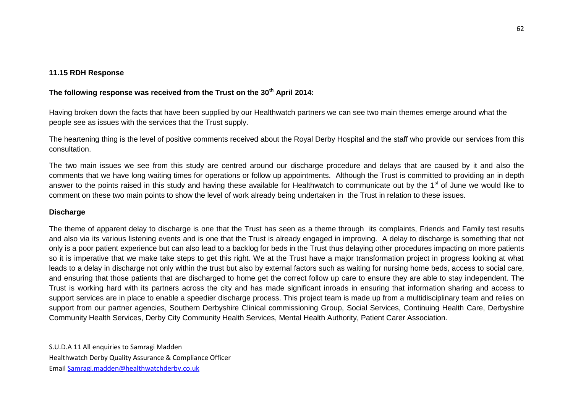#### **11.15 RDH Response**

# **The following response was received from the Trust on the 30th April 2014:**

Having broken down the facts that have been supplied by our Healthwatch partners we can see two main themes emerge around what the people see as issues with the services that the Trust supply.

The heartening thing is the level of positive comments received about the Royal Derby Hospital and the staff who provide our services from this consultation.

The two main issues we see from this study are centred around our discharge procedure and delays that are caused by it and also the comments that we have long waiting times for operations or follow up appointments. Although the Trust is committed to providing an in depth answer to the points raised in this study and having these available for Healthwatch to communicate out by the 1<sup>st</sup> of June we would like to comment on these two main points to show the level of work already being undertaken in the Trust in relation to these issues.

### **Discharge**

The theme of apparent delay to discharge is one that the Trust has seen as a theme through its complaints, Friends and Family test results and also via its various listening events and is one that the Trust is already engaged in improving. A delay to discharge is something that not only is a poor patient experience but can also lead to a backlog for beds in the Trust thus delaying other procedures impacting on more patients so it is imperative that we make take steps to get this right. We at the Trust have a major transformation project in progress looking at what leads to a delay in discharge not only within the trust but also by external factors such as waiting for nursing home beds, access to social care, and ensuring that those patients that are discharged to home get the correct follow up care to ensure they are able to stay independent. The Trust is working hard with its partners across the city and has made significant inroads in ensuring that information sharing and access to support services are in place to enable a speedier discharge process. This project team is made up from a multidisciplinary team and relies on support from our partner agencies, Southern Derbyshire Clinical commissioning Group, Social Services, Continuing Health Care, Derbyshire Community Health Services, Derby City Community Health Services, Mental Health Authority, Patient Carer Association.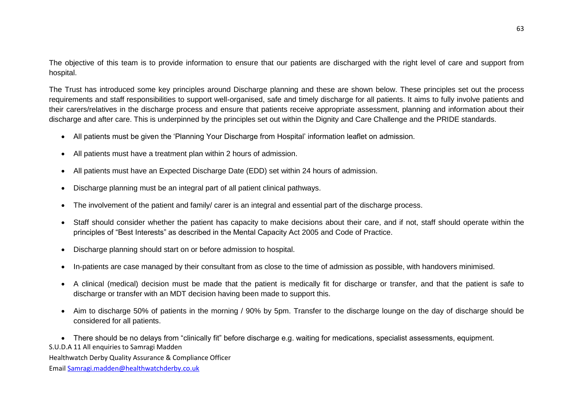The objective of this team is to provide information to ensure that our patients are discharged with the right level of care and support from hospital.

The Trust has introduced some key principles around Discharge planning and these are shown below. These principles set out the process requirements and staff responsibilities to support well-organised, safe and timely discharge for all patients. It aims to fully involve patients and their carers/relatives in the discharge process and ensure that patients receive appropriate assessment, planning and information about their discharge and after care. This is underpinned by the principles set out within the Dignity and Care Challenge and the PRIDE standards.

- All patients must be given the 'Planning Your Discharge from Hospital' information leaflet on admission.
- All patients must have a treatment plan within 2 hours of admission.
- All patients must have an Expected Discharge Date (EDD) set within 24 hours of admission.
- Discharge planning must be an integral part of all patient clinical pathways.
- The involvement of the patient and family/ carer is an integral and essential part of the discharge process.
- Staff should consider whether the patient has capacity to make decisions about their care, and if not, staff should operate within the principles of "Best Interests" as described in the Mental Capacity Act 2005 and Code of Practice.
- Discharge planning should start on or before admission to hospital.
- In-patients are case managed by their consultant from as close to the time of admission as possible, with handovers minimised.
- A clinical (medical) decision must be made that the patient is medically fit for discharge or transfer, and that the patient is safe to discharge or transfer with an MDT decision having been made to support this.
- Aim to discharge 50% of patients in the morning / 90% by 5pm. Transfer to the discharge lounge on the day of discharge should be considered for all patients.

S.U.D.A 11 All enquiries to Samragi Madden There should be no delays from "clinically fit" before discharge e.g. waiting for medications, specialist assessments, equipment.

Healthwatch Derby Quality Assurance & Compliance Officer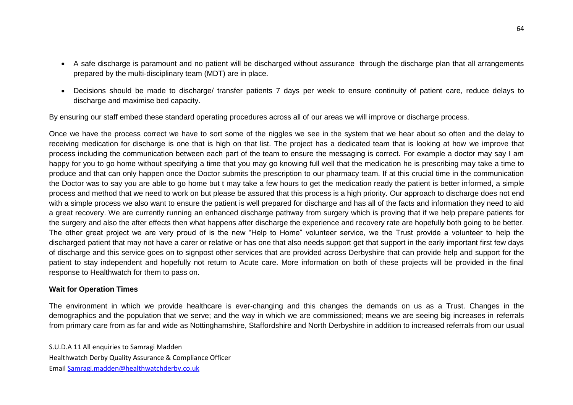- A safe discharge is paramount and no patient will be discharged without assurance through the discharge plan that all arrangements prepared by the multi-disciplinary team (MDT) are in place.
- Decisions should be made to discharge/ transfer patients 7 days per week to ensure continuity of patient care, reduce delays to discharge and maximise bed capacity.

By ensuring our staff embed these standard operating procedures across all of our areas we will improve or discharge process.

Once we have the process correct we have to sort some of the niggles we see in the system that we hear about so often and the delay to receiving medication for discharge is one that is high on that list. The project has a dedicated team that is looking at how we improve that process including the communication between each part of the team to ensure the messaging is correct. For example a doctor may say I am happy for you to go home without specifying a time that you may go knowing full well that the medication he is prescribing may take a time to produce and that can only happen once the Doctor submits the prescription to our pharmacy team. If at this crucial time in the communication the Doctor was to say you are able to go home but t may take a few hours to get the medication ready the patient is better informed, a simple process and method that we need to work on but please be assured that this process is a high priority. Our approach to discharge does not end with a simple process we also want to ensure the patient is well prepared for discharge and has all of the facts and information they need to aid a great recovery. We are currently running an enhanced discharge pathway from surgery which is proving that if we help prepare patients for the surgery and also the after effects then what happens after discharge the experience and recovery rate are hopefully both going to be better. The other great project we are very proud of is the new "Help to Home" volunteer service, we the Trust provide a volunteer to help the discharged patient that may not have a carer or relative or has one that also needs support get that support in the early important first few days of discharge and this service goes on to signpost other services that are provided across Derbyshire that can provide help and support for the patient to stay independent and hopefully not return to Acute care. More information on both of these projects will be provided in the final response to Healthwatch for them to pass on.

### **Wait for Operation Times**

The environment in which we provide healthcare is ever-changing and this changes the demands on us as a Trust. Changes in the demographics and the population that we serve; and the way in which we are commissioned; means we are seeing big increases in referrals from primary care from as far and wide as Nottinghamshire, Staffordshire and North Derbyshire in addition to increased referrals from our usual